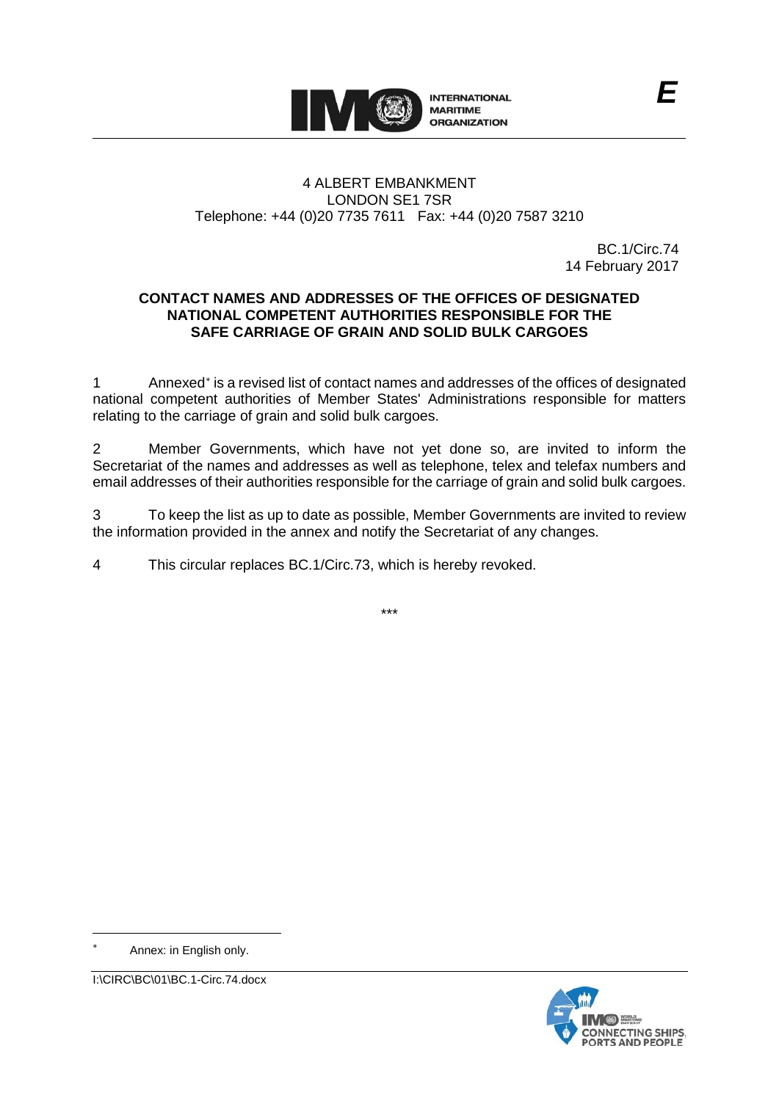

# 4 ALBERT EMBANKMENT LONDON SE1 7SR Telephone: +44 (0)20 7735 7611 Fax: +44 (0)20 7587 3210

BC.1/Circ.74 14 February 2017

## **CONTACT NAMES AND ADDRESSES OF THE OFFICES OF DESIGNATED NATIONAL COMPETENT AUTHORITIES RESPONSIBLE FOR THE SAFE CARRIAGE OF GRAIN AND SOLID BULK CARGOES**

1 Annexed[∗](#page-0-0) is a revised list of contact names and addresses of the offices of designated national competent authorities of Member States' Administrations responsible for matters relating to the carriage of grain and solid bulk cargoes.

2 Member Governments, which have not yet done so, are invited to inform the Secretariat of the names and addresses as well as telephone, telex and telefax numbers and email addresses of their authorities responsible for the carriage of grain and solid bulk cargoes.

3 To keep the list as up to date as possible, Member Governments are invited to review the information provided in the annex and notify the Secretariat of any changes.

4 This circular replaces BC.1/Circ.73, which is hereby revoked.

-

<span id="page-0-0"></span>



<sup>\*\*\*</sup>

Annex: in English only.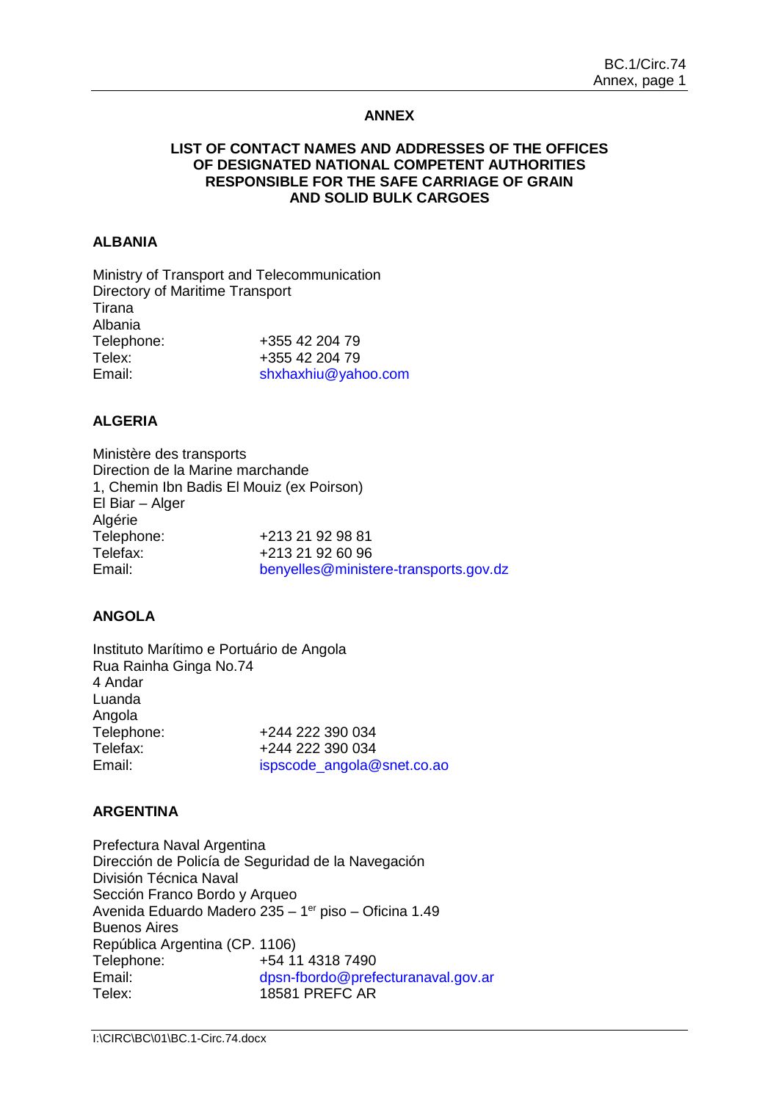## **ANNEX**

## **LIST OF CONTACT NAMES AND ADDRESSES OF THE OFFICES OF DESIGNATED NATIONAL COMPETENT AUTHORITIES RESPONSIBLE FOR THE SAFE CARRIAGE OF GRAIN AND SOLID BULK CARGOES**

## **ALBANIA**

Ministry of Transport and Telecommunication Directory of Maritime Transport Tirana Albania Telephone: +355 42 204 79 Telex: +355 42 204 79 Email: [shxhaxhiu@yahoo.com](file://imo10-win/vol2/groups/MSD/MTC/CARGOES/Sybelle%20Andre/bmoradi/AppData/Local/Temp/XPgrpwise/shxhaxhiu@yahoo.com)

## **ALGERIA**

Ministère des transports Direction de la Marine marchande 1, Chemin Ibn Badis El Mouiz (ex Poirson) El Biar – Alger Algérie<br>Telephone: Telephone: +213 21 92 98 81<br>Telefax: +213 21 92 60 96 Telefax: +213 21 92 60 96<br>Fmail: benvelles@ministe [benyelles@ministere-transports.gov.dz](mailto:benyelles@ministere-transports.gov.dz)

#### **ANGOLA**

Instituto Marítimo e Portuário de Angola Rua Rainha Ginga No.74 4 Andar Luanda Angola Telephone: +244 222 390 034 Telefax:  $+244\,222\,390\,034$ <br>Email:  $\frac{1}{2}$  ispscode angola@ [ispscode\\_angola@snet.co.ao](file://imo10-win/vol2/groups/MSD/MTC/CARGOES/Sybelle%20Andre/bmoradi/AppData/Local/Temp/XPgrpwise/ispscode_angola@snet.co.ao)

#### **ARGENTINA**

Prefectura Naval Argentina Dirección de Policía de Seguridad de la Navegación División Técnica Naval Sección Franco Bordo y Arqueo Avenida Eduardo Madero 235 – 1er piso – Oficina 1.49 Buenos Aires República Argentina (CP. 1106) Telephone: +54 11 4318 7490 Email: [dpsn-fbordo@prefecturanaval.gov.ar](mailto:dpsn-fbordo@prefecturanaval.gov.ar) Telex: 18581 PREFC AR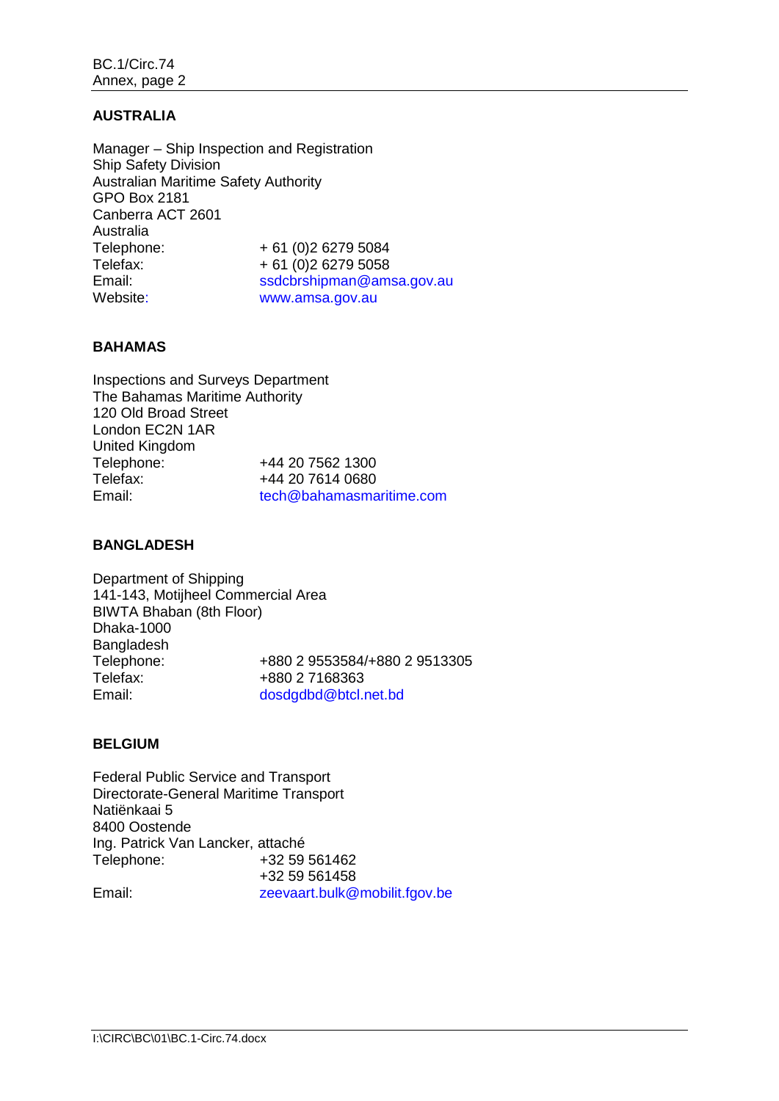## **AUSTRALIA**

Manager – Ship Inspection and Registration Ship Safety Division Australian Maritime Safety Authority GPO Box 2181 Canberra ACT 2601 Australia Telephone: + 61 (0)2 6279 5084<br>Telefax: + 61 (0)2 6279 5058 Telefax:  $+ 61 (0)2 6279 5058$ <br>Email:  $ssdcbrshioman@am$ [ssdcbrshipman@amsa.gov.au](file://imo10-win/vol2/groups/MSD/MTC/CARGOES/Sybelle%20Andre/bmoradi/AppData/Local/Temp/XPgrpwise/mocbrshipman@amsa.gov.au) Website: www.amsa.gov.au

## **BAHAMAS**

Inspections and Surveys Department The Bahamas Maritime Authority 120 Old Broad Street London EC2N 1AR United Kingdom Telephone: +44 20 7562 1300<br>Telefax: +44 20 7614 0680 +44 20 7614 0680 Email: [tech@bahamasmaritime.com](mailto:tech@bahamasmaritime.com)

## **BANGLADESH**

Department of Shipping 141-143, Motijheel Commercial Area BIWTA Bhaban (8th Floor) Dhaka-1000 Bangladesh Telephone: +880 2 9553584/+880 2 9513305 Telefax: +880 2 7168363<br>Email: dosdadbd@btcl.r [dosdgdbd@btcl.net.bd](mailto:dosdgdbd@btcl.net.bd)

## **BELGIUM**

Federal Public Service and Transport Directorate-General Maritime Transport Natiënkaai 5 8400 Oostende Ing. Patrick Van Lancker, attaché Telephone: +32 59 561462 +32 59 561458 Email: zeevaart.bulk@mobilit.fgov.be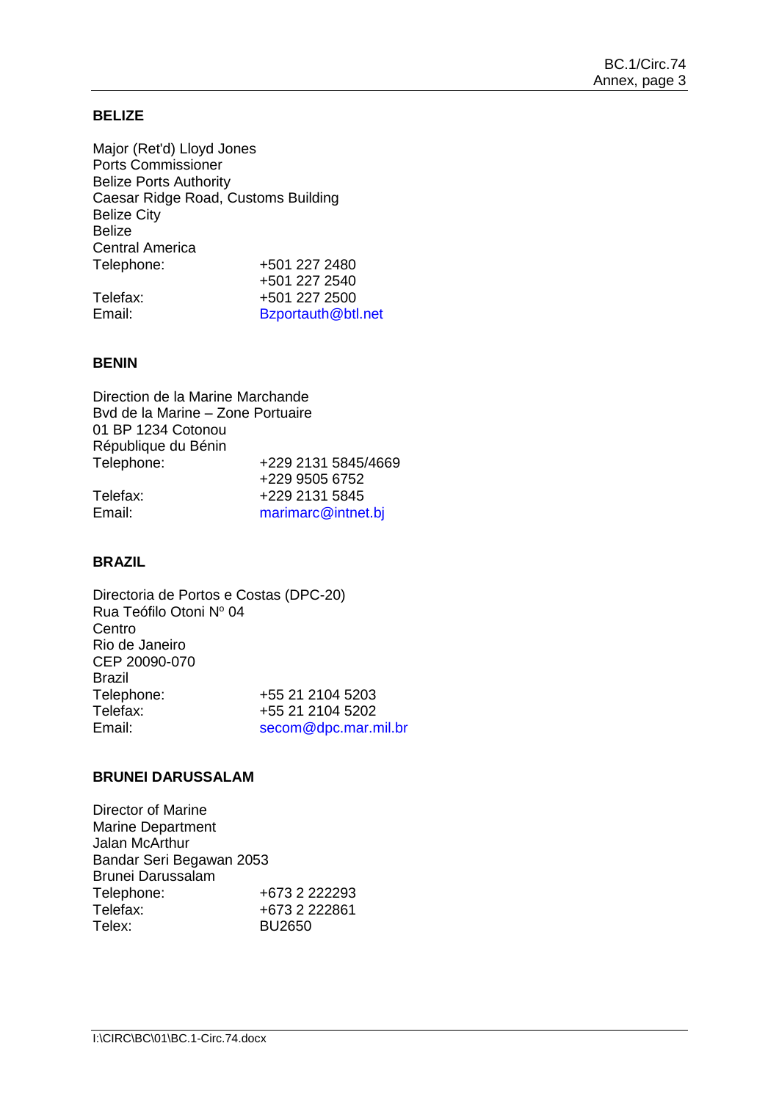## **BELIZE**

Major (Ret'd) Lloyd Jones Ports Commissioner Belize Ports Authority Caesar Ridge Road, Customs Building Belize City Belize Central America Telephone: +501 227 2480 +501 227 2540 Telefax: +501 227 2500<br>
Fmail: Bzportauth@htl [Bzportauth@btl.net](file://imo10-win/vol2/groups/MSD/MTC/CARGOES/Sybelle%20Andre/bmoradi/AppData/Local/Temp/XPgrpwise/Bzportauth@btl.net)

#### **BENIN**

Direction de la Marine Marchande Bvd de la Marine – Zone Portuaire 01 BP 1234 Cotonou République du Bénin Telephone: +229 2131 5845/4669 +229 9505 6752 Telefax: +229 2131 5845<br>Email: marimarc@intne [marimarc@intnet.bj](file://imo10-win/vol2/groups/MSD/MTC/CARGOES/Sybelle%20Andre/bmoradi/AppData/Local/Temp/XPgrpwise/marimarc@intnet.bj)

#### **BRAZIL**

Directoria de Portos e Costas (DPC-20) Rua Teófilo Otoni Nº 04 Centro Rio de Janeiro CEP 20090-070 Brazil<br>Telephone: Telephone: +55 21 2104 5203<br>Telefax: +55 21 2104 5202 Telefax:  $+55\ 21\ 2104\ 5202$ <br>Fmail:  $\frac{\text{second @doc mar n}}{}$ [secom@dpc.mar.mil.br](file://imo10-win/vol2/groups/MSD/MTC/CARGOES/Sybelle%20Andre/bmoradi/AppData/Local/Temp/XPgrpwise/secom@dpc.mar.mil.br)

#### **BRUNEI DARUSSALAM**

Director of Marine Marine Department Jalan McArthur Bandar Seri Begawan 2053 Brunei Darussalam Telephone: +673 2 222293<br>Telefax: +673 2 222861 Telefax: +673 2 222861 BU2650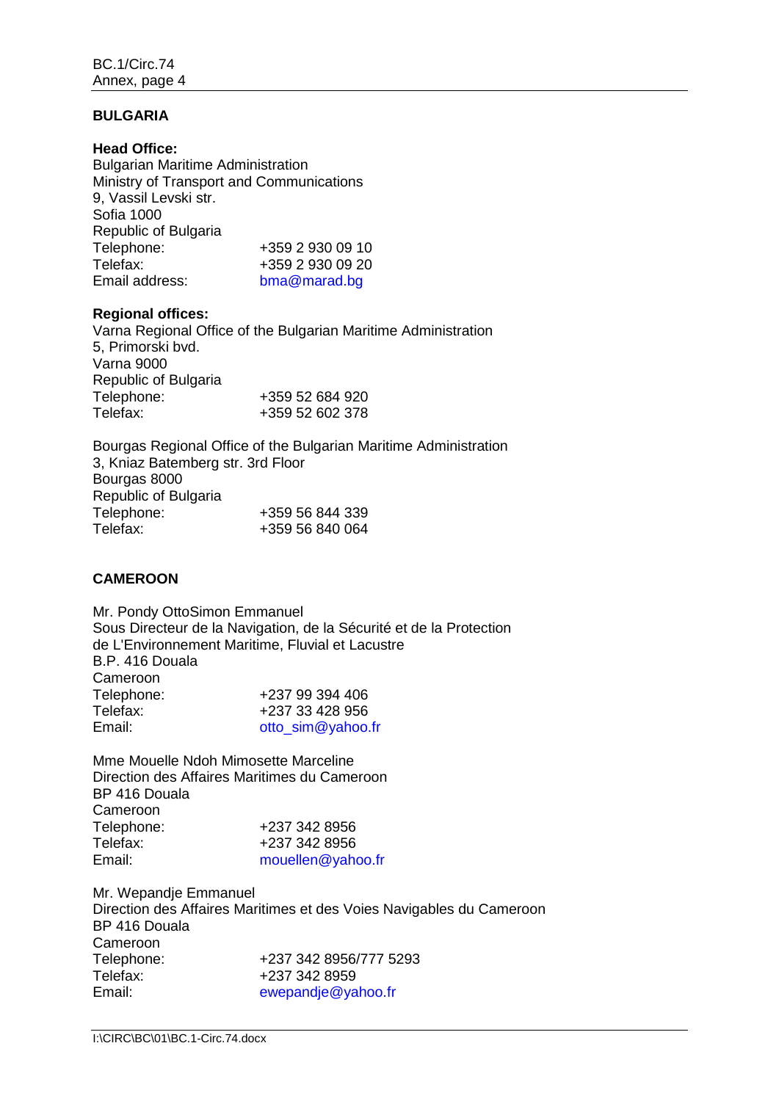## **BULGARIA**

**Head Office:** Bulgarian Maritime Administration Ministry of Transport and Communications 9, Vassil Levski str. Sofia 1000 Republic of Bulgaria Telephone: +359 2 930 09 10 Telefax: +359 2 930 09 20<br>Email address: bma@marad.bg [bma@marad.bg](file://imo10-win/vol2/groups/MSD/MTC/CARGOES/Sybelle%20Andre/bmoradi/AppData/Local/Temp/XPgrpwise/bma@marad.bg)

## **Regional offices:**

Varna Regional Office of the Bulgarian Maritime Administration 5, Primorski bvd. Varna 9000 Republic of Bulgaria Telephone: +359 52 684 920<br>Telefax: +359 52 602 378 +359 52 602 378

Bourgas Regional Office of the Bulgarian Maritime Administration 3, Kniaz Batemberg str. 3rd Floor Bourgas 8000 Republic of Bulgaria Telephone: +359 56 844 339 Telefax: +359 56 840 064

## **CAMEROON**

Mr. Pondy OttoSimon Emmanuel Sous Directeur de la Navigation, de la Sécurité et de la Protection de L'Environnement Maritime, Fluvial et Lacustre B.P. 416 Douala Cameroon Telephone: +237 99 394 406<br>Telefax: +237 33 428 956 Telefax: +237 33 428 956<br>
Fmail: ofto sim@vahoo [otto\\_sim@yahoo.fr](file://imo10-win/vol2/groups/MSD/MTC/CARGOES/Sybelle%20Andre/bmoradi/AppData/Local/Temp/XPgrpwise/otto_sim@yahoo.fr)

Mme Mouelle Ndoh Mimosette Marceline Direction des Affaires Maritimes du Cameroon BP 416 Douala Cameroon<br>Telephone: Telephone: +237 342 8956<br>Telefax: +237 342 8956 +237 342 8956 Email: [mouellen@yahoo.fr](file://imo10-win/vol2/groups/MSD/MTC/CARGOES/Sybelle%20Andre/bmoradi/AppData/Local/Temp/XPgrpwise/mouellen@yahoo.fr)

Mr. Wepandje Emmanuel Direction des Affaires Maritimes et des Voies Navigables du Cameroon BP 416 Douala Cameroon<br>Telephone: +237 342 8956/777 5293 Telefax: +237 342 8959 Email: [ewepandje@yahoo.fr](file://imo10-win/vol2/groups/MSD/MTC/CARGOES/Sybelle%20Andre/bmoradi/AppData/Local/Temp/XPgrpwise/ewepandje@yahoo.fr)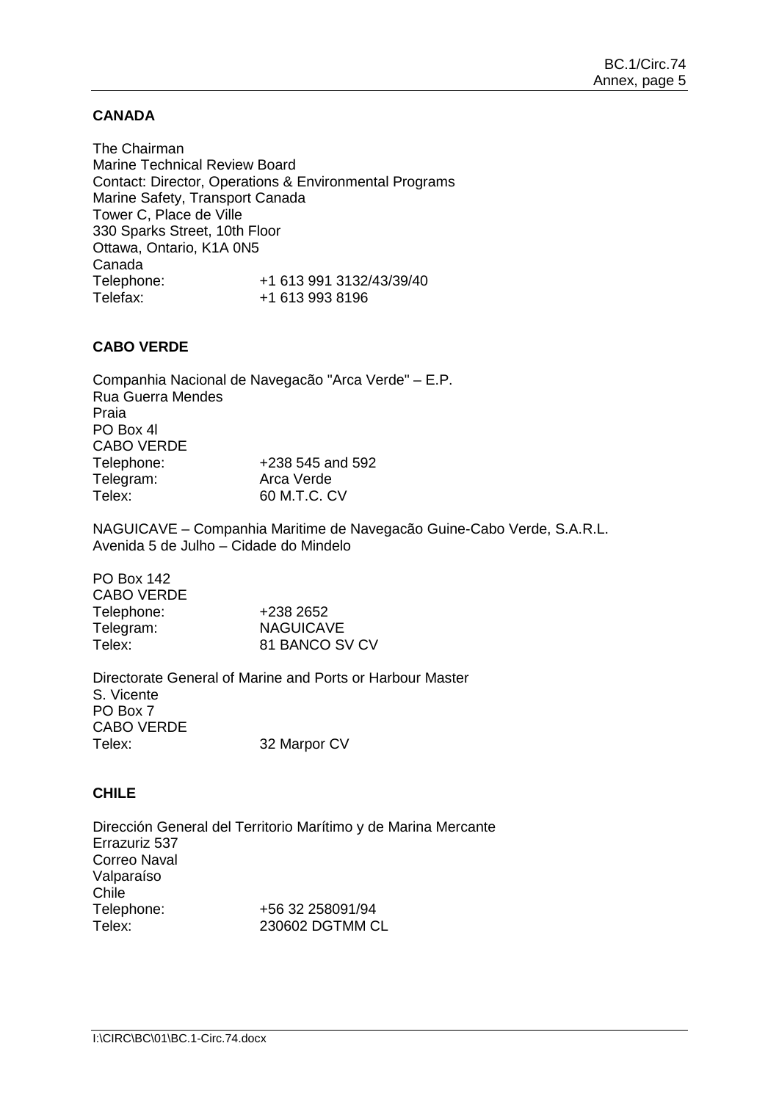## **CANADA**

The Chairman Marine Technical Review Board Contact: Director, Operations & Environmental Programs Marine Safety, Transport Canada Tower C, Place de Ville 330 Sparks Street, 10th Floor Ottawa, Ontario, K1A 0N5 Canada<br>Telephone: Telephone: +1 613 991 3132/43/39/40 Telefax: +1 613 993 8196

## **CABO VERDE**

Companhia Nacional de Navegacão "Arca Verde" – E.P. Rua Guerra Mendes Praia PO Box 4l CABO VERDE Telephone: +238 545 and 592<br>Telegram: +238 545 and 592 Telegram: Telex: 60 M.T.C. CV

NAGUICAVE – Companhia Maritime de Navegacão Guine-Cabo Verde, S.A.R.L. Avenida 5 de Julho – Cidade do Mindelo

| +238 2652      |
|----------------|
| NAGUICAVE      |
| 81 BANCO SV CV |
|                |

Directorate General of Marine and Ports or Harbour Master S. Vicente PO Box 7 CABO VERDE Telex: 32 Marpor CV

## **CHILE**

Dirección General del Territorio Marítimo y de Marina Mercante Errazuriz 537 Correo Naval Valparaíso Chile<br>Telephone: Telephone: +56 32 258091/94<br>Telex: 230602 DGTMM C 230602 DGTMM CL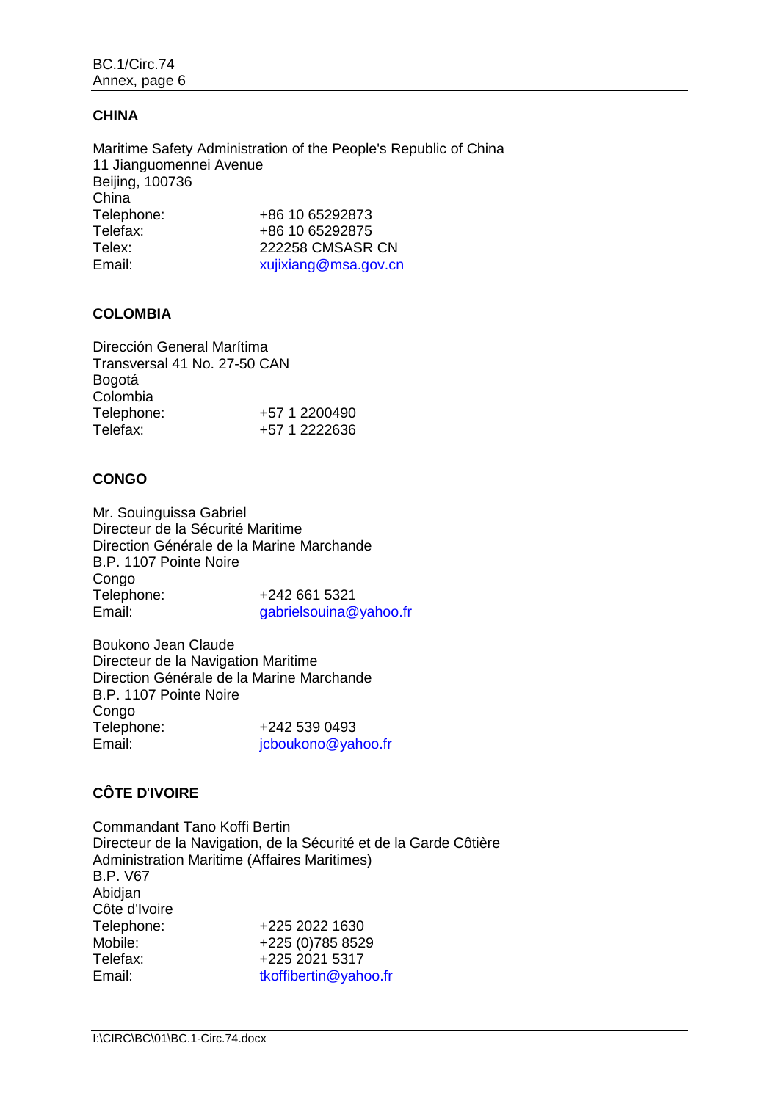# **CHINA**

Maritime Safety Administration of the People's Republic of China 11 Jianguomennei Avenue Beijing, 100736 China<br>Telephone: Telephone: +86 10 65292873<br>Telefax: +86 10 65292875 +86 10 65292875 Telex: 222258 CMSASR CN Email:  $xu$  is  $xu$  is  $xu$  and  $xu$  and  $xu$  and  $xu$  and  $xu$  and  $xu$  and  $xu$  and  $xu$  and  $xu$  and  $xu$  and  $xu$  and  $xu$  and  $xu$  and  $xu$  and  $xu$  and  $xu$  and  $xu$  and  $xu$  and  $xu$  and  $xu$  and  $xu$  and  $xu$  and

## **COLOMBIA**

| Dirección General Marítima   |               |
|------------------------------|---------------|
| Transversal 41 No. 27-50 CAN |               |
| Bogotá                       |               |
| Colombia                     |               |
| Telephone:                   | +57 1 2200490 |
| Telefax:                     | +57 1 2222636 |
|                              |               |

## **CONGO**

Mr. Souinguissa Gabriel Directeur de la Sécurité Maritime Direction Générale de la Marine Marchande B.P. 1107 Pointe Noire Congo Telephone:  $+242\,661\,5321$ <br>Email:  $\begin{array}{r} 321 \text{ gal·s} \\ \text{0.12}\end{array}$ [gabrielsouina@yahoo.fr](file://imo10-win/vol2/groups/MSD/MTC/CARGOES/Sybelle%20Andre/bmoradi/AppData/Local/Temp/XPgrpwise/gabrielsouina@yahoo.fr)

Boukono Jean Claude Directeur de la Navigation Maritime Direction Générale de la Marine Marchande B.P. 1107 Pointe Noire Congo<br>Telephone: Telephone: +242 539 0493<br>Email: icboukono@val [jcboukono@yahoo.fr](file://imo10-win/vol2/groups/MSD/MTC/CARGOES/Sybelle%20Andre/bmoradi/AppData/Local/Temp/XPgrpwise/jcboukono@yahoo.fr)

# **CÔTE D**'**IVOIRE**

Commandant Tano Koffi Bertin Directeur de la Navigation, de la Sécurité et de la Garde Côtière Administration Maritime (Affaires Maritimes) B.P. V67 Abidjan Côte d'Ivoire Telephone: +225 2022 1630 Mobile: +225 (0)785 8529<br>Telefax: +225 2021 5317 Telefax: +225 2021 5317<br>Email: tkoffibertin@vah [tkoffibertin@yahoo.fr](file://imo10-win/vol2/groups/MSD/MTC/CARGOES/Sybelle%20Andre/bmoradi/AppData/Local/Temp/XPgrpwise/tkoffibertin@yahoo.fr)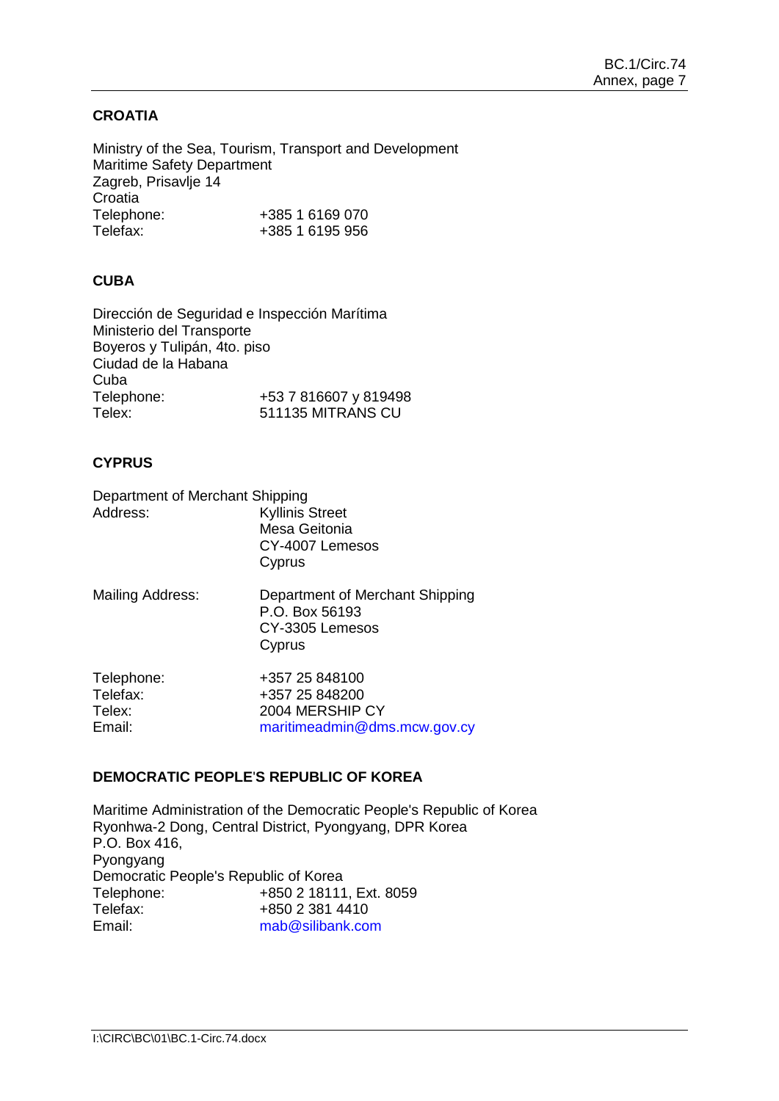# **CROATIA**

Ministry of the Sea, Tourism, Transport and Development Maritime Safety Department Zagreb, Prisavlje 14 Croatia<br>Telephone: Telephone: +385 1 6169 070<br>Telefax: +385 1 6195 956 +385 1 6195 956

# **CUBA**

Dirección de Seguridad e Inspección Marítima Ministerio del Transporte Boyeros y Tulipán, 4to. piso Ciudad de la Habana Cuba<br>Telephone: Telephone: +53 7 816607 y 819498<br>Telex: 511135 MITRANS CU 511135 MITRANS CU

## **CYPRUS**

Department of Merchant Shipping<br>Address: Kyllinis Kyllinis Street Mesa Geitonia CY-4007 Lemesos Cyprus Mailing Address: Department of Merchant Shipping P.O. Box 56193 CY-3305 Lemesos **Cyprus** 

| Telephone: | +357 25 848100               |
|------------|------------------------------|
| Telefax:   | +357 25 848200               |
| Telex:     | 2004 MERSHIP CY              |
| Email:     | maritimeadmin@dms.mcw.gov.cy |
|            |                              |

## **DEMOCRATIC PEOPLE**'**S REPUBLIC OF KOREA**

Maritime Administration of the Democratic People's Republic of Korea Ryonhwa-2 Dong, Central District, Pyongyang, DPR Korea P.O. Box 416, Pyongyang Democratic People's Republic of Korea Telephone: +850 2 18111, Ext. 8059<br>Telefax: +850 2 381 4410 Telefax:  $+85023814410$ <br>Fmail:  $\frac{\text{mab@silibankco}}{\text{mab@silibankco}}$ [mab@silibank.com](file://imo10-win/vol2/groups/MSD/MTC/CARGOES/Sybelle%20Andre/bmoradi/AppData/Local/Temp/XPgrpwise/mab@silibank.com)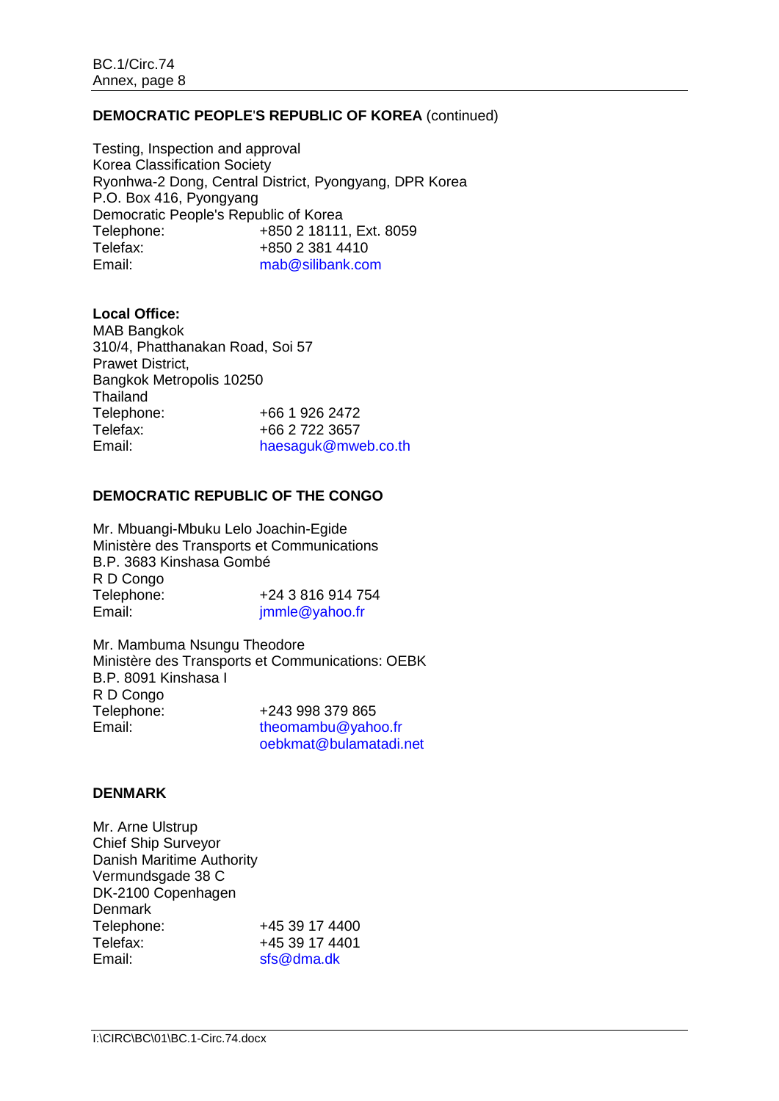## **DEMOCRATIC PEOPLE**'**S REPUBLIC OF KOREA** (continued)

Testing, Inspection and approval Korea Classification Society Ryonhwa-2 Dong, Central District, Pyongyang, DPR Korea P.O. Box 416, Pyongyang Democratic People's Republic of Korea<br>Telephone: +850 2 18111 +850 2 18111, Ext. 8059 Telefax: +850 2 381 4410 Email: [mab@silibank.com](file://imo10-win/vol2/groups/MSD/MTC/CARGOES/Sybelle%20Andre/bmoradi/AppData/Local/Temp/XPgrpwise/mab@silibank.com)

**Local Office:** MAB Bangkok 310/4, Phatthanakan Road, Soi 57 Prawet District, Bangkok Metropolis 10250 Thailand<br>Telephone: +66 1 926 2472 Telefax: +66 2 722 3657<br>Email: haesaauk@mw [haesaguk@mweb.co.th](file://imo10-win/vol2/groups/MSD/MTC/CARGOES/Sybelle%20Andre/bmoradi/AppData/Local/Temp/XPgrpwise/haesaguk@mweb.co.th)

## **DEMOCRATIC REPUBLIC OF THE CONGO**

Mr. Mbuangi-Mbuku Lelo Joachin-Egide Ministère des Transports et Communications B.P. 3683 Kinshasa Gombé R D Congo<br>Telephone: Telephone:  $+243816914754$ <br>Fmail:  $\frac{\text{immle@vahoo fr}}{}$ immle@yahoo.fr

Mr. Mambuma Nsungu Theodore Ministère des Transports et Communications: OEBK B.P. 8091 Kinshasa I R D Congo<br>Telephone: Telephone:  $+243998379865$ <br>Fmail:  $\frac{1}{2}$  theomambu@vaho [theomambu@yahoo.fr](file://imo10-win/vol2/groups/MSD/MTC/CARGOES/Sybelle%20Andre/bmoradi/AppData/Local/Temp/XPgrpwise/theomambu@yahoo.fr) [oebkmat@bulamatadi.net](file://imo10-win/vol2/groups/MSD/MTC/CARGOES/Sybelle%20Andre/bmoradi/AppData/Local/Temp/XPgrpwise/oebkmat@bulamatadi.net)

## **DENMARK**

Mr. Arne Ulstrup Chief Ship Surveyor Danish Maritime Authority Vermundsgade 38 C DK-2100 Copenhagen **Denmark** Telephone: +45 39 17 4400 Telefax:  $+4539174401$ <br>Fmail:  $\frac{\text{sfs@dmadk}}{1}$  $sfs@dma.dk$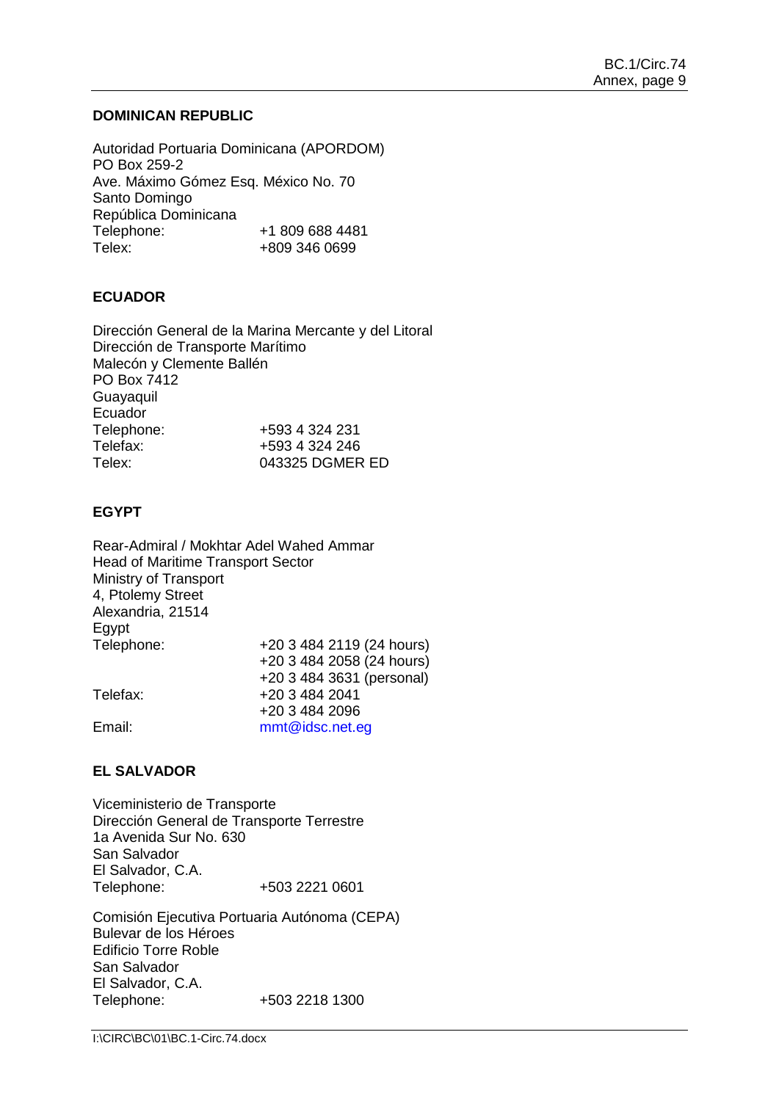## **DOMINICAN REPUBLIC**

Autoridad Portuaria Dominicana (APORDOM) PO Box 259-2 Ave. Máximo Gómez Esq. México No. 70 Santo Domingo República Dominicana<br>Telephone: Telephone: +1 809 688 4481 Telex: +809 346 0699

## **ECUADOR**

Dirección General de la Marina Mercante y del Litoral Dirección de Transporte Marítimo Malecón y Clemente Ballén PO Box 7412 **Guavaquil** Ecuador Telephone: +593 4 324 231<br>Telefax: +593 4 324 246 +593 4 324 246 Telex: 043325 DGMER ED

## **EGYPT**

Rear-Admiral / Mokhtar Adel Wahed Ammar Head of Maritime Transport Sector Ministry of Transport 4, Ptolemy Street Alexandria, 21514 Egypt Telephone: +20 3 484 2119 (24 hours) +20 3 484 2058 (24 hours) +20 3 484 3631 (personal) Telefax: +20 3 484 2041 +20 3 484 2096 Email: [mmt@idsc.net.eg](file://imo10-win/vol2/groups/MSD/MTC/CARGOES/Sybelle%20Andre/bmoradi/AppData/Local/Temp/XPgrpwise/mmt@idsc.net.eg)

# **EL SALVADOR**

Viceministerio de Transporte Dirección General de Transporte Terrestre 1a Avenida Sur No. 630 San Salvador El Salvador, C.A. Telephone: +503 2221 0601

Comisión Ejecutiva Portuaria Autónoma (CEPA) Bulevar de los Héroes Edificio Torre Roble San Salvador El Salvador, C.A. Telephone: +503 2218 1300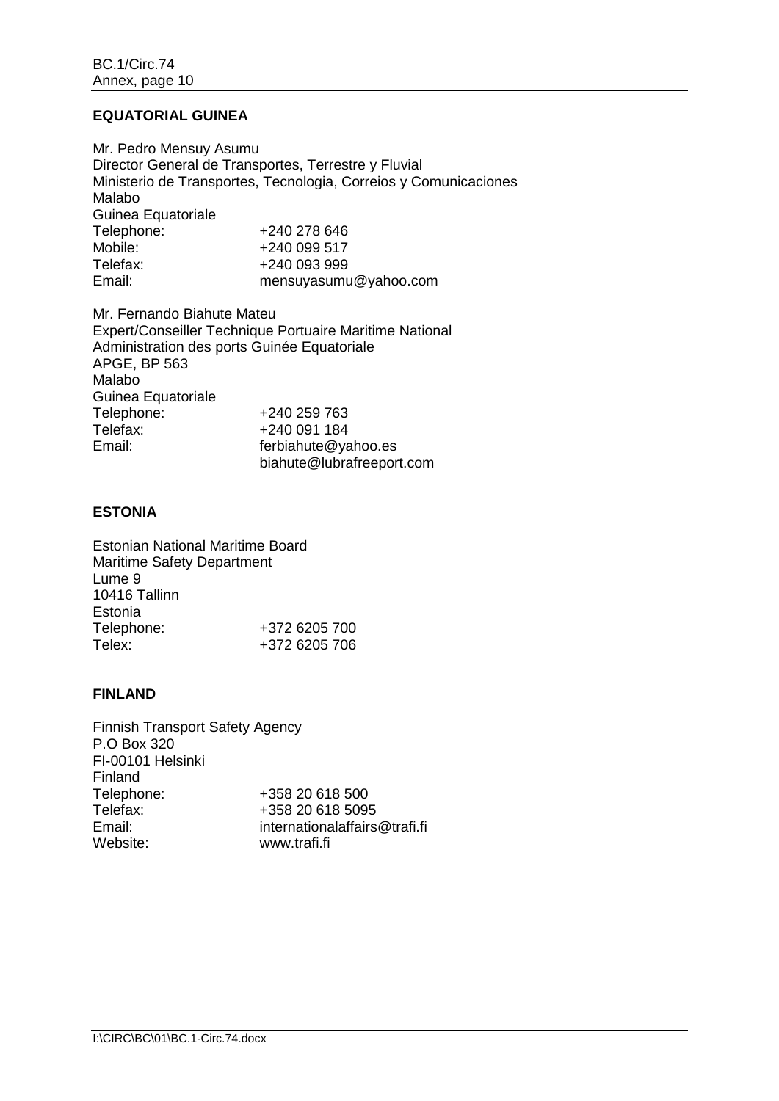## **EQUATORIAL GUINEA**

Mr. Pedro Mensuy Asumu Director General de Transportes, Terrestre y Fluvial Ministerio de Transportes, Tecnologia, Correios y Comunicaciones Malabo Guinea Equatoriale<br>Telephone: +240 278 646 Mobile: +240 099 517<br>Telefax: +240 093 999 Telefax: +240 093 999<br>Email: mensuvasum [mensuyasumu@yahoo.com](file://imo10-win/vol2/groups/MSD/MTC/CARGOES/Sybelle%20Andre/bmoradi/AppData/Local/Temp/XPgrpwise/mensuyasumu@yahoo.com)

Mr. Fernando Biahute Mateu Expert/Conseiller Technique Portuaire Maritime National Administration des ports Guinée Equatoriale APGE, BP 563 Malabo Guinea Equatoriale<br>Telephone: +240 259 763 Telefax: +240 091 184<br>
Fmail: ferbiabute@va ferbiahute@yahoo.es [biahute@lubrafreeport.com](file://imo10-win/vol2/groups/MSD/MTC/CARGOES/Sybelle%20Andre/bmoradi/AppData/Local/Temp/XPgrpwise/biahute@lubrafreeport.com)

# **ESTONIA**

Estonian National Maritime Board Maritime Safety Department Lume 9 10416 Tallinn Estonia Telephone: +372 6205 700 Telex: +372 6205 706

#### **FINLAND**

Finnish Transport Safety Agency P.O Box 320 FI-00101 Helsinki Finland<br>Telephone: Telephone: +358 20 618 500<br>Telefax: +358 20 618 509 Telefax: +358 20 618 5095<br>Fmail: +1358 20 618 5095 Email: [internationalaffairs@trafi.fi](mailto:internationalaffairs@trafi.fi)<br>Website: www.trafi.fi [www.trafi.fi](http://www.trafi.fi/)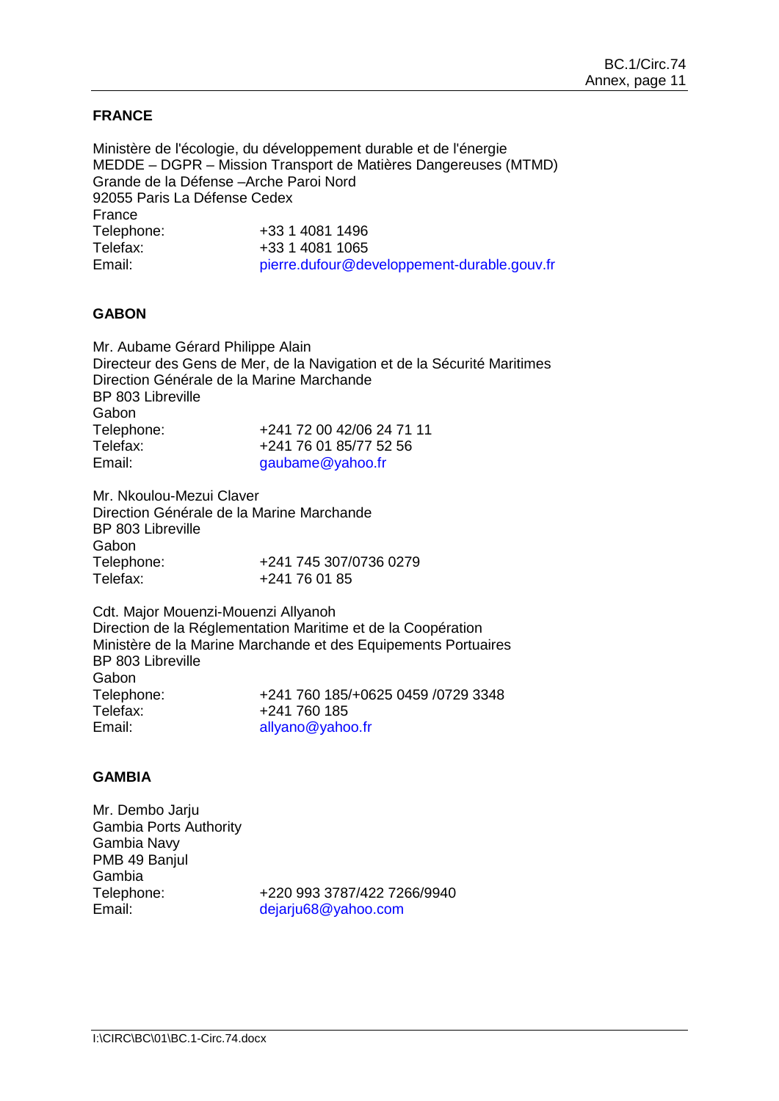## **FRANCE**

Ministère de l'écologie, du développement durable et de l'énergie MEDDE – DGPR – Mission Transport de Matières Dangereuses (MTMD) Grande de la Défense –Arche Paroi Nord 92055 Paris La Défense Cedex France Telephone: +33 1 4081 1496 Telefax: +33 1 4081 1065 Email: pierre.dufour@developpement-durable.gouv.fr

## **GABON**

Mr. Aubame Gérard Philippe Alain Directeur des Gens de Mer, de la Navigation et de la Sécurité Maritimes Direction Générale de la Marine Marchande BP 803 Libreville **Gabon** Telephone: +241 72 00 42/06 24 71 11<br>Telefax: +241 76 01 85/77 52 56 Telefax: +241 76 01 85/77 52 56<br>Email: aaubame@vahoo.fr [gaubame@yahoo.fr](file://imo10-win/vol2/groups/MSD/MTC/CARGOES/Sybelle%20Andre/bmoradi/AppData/Local/Temp/XPgrpwise/gaubame@yahoo.fr)

Mr. Nkoulou-Mezui Claver Direction Générale de la Marine Marchande BP 803 Libreville Gabon<br>Telephone: Telephone: +241 745 307/0736 0279<br>Telefax: +241 76 01 85 +241 76 01 85

Cdt. Major Mouenzi-Mouenzi Allyanoh Direction de la Réglementation Maritime et de la Coopération Ministère de la Marine Marchande et des Equipements Portuaires BP 803 Libreville Gabon<br>Telephone: Telephone: +241 760 185/+0625 0459 /0729 3348<br>Telefax: +241 760 185 Telefax:  $+241 760 185$ <br>Fmail:  $\frac{all}{2}$ [allyano@yahoo.fr](file://imo10-win/vol2/groups/MSD/MTC/CARGOES/Sybelle%20Andre/bmoradi/AppData/Local/Temp/XPgrpwise/allyano@yahoo.fr)

## **GAMBIA**

Mr. Dembo Jarju Gambia Ports Authority Gambia Navy PMB 49 Banjul Gambia Telephone: +220 993 3787/422 7266/9940 Email: [dejarju68@yahoo.com](file://imo10-win/vol2/groups/MSD/MTC/CARGOES/Sybelle%20Andre/bmoradi/AppData/Local/Temp/XPgrpwise/dejarju68@yahoo.com)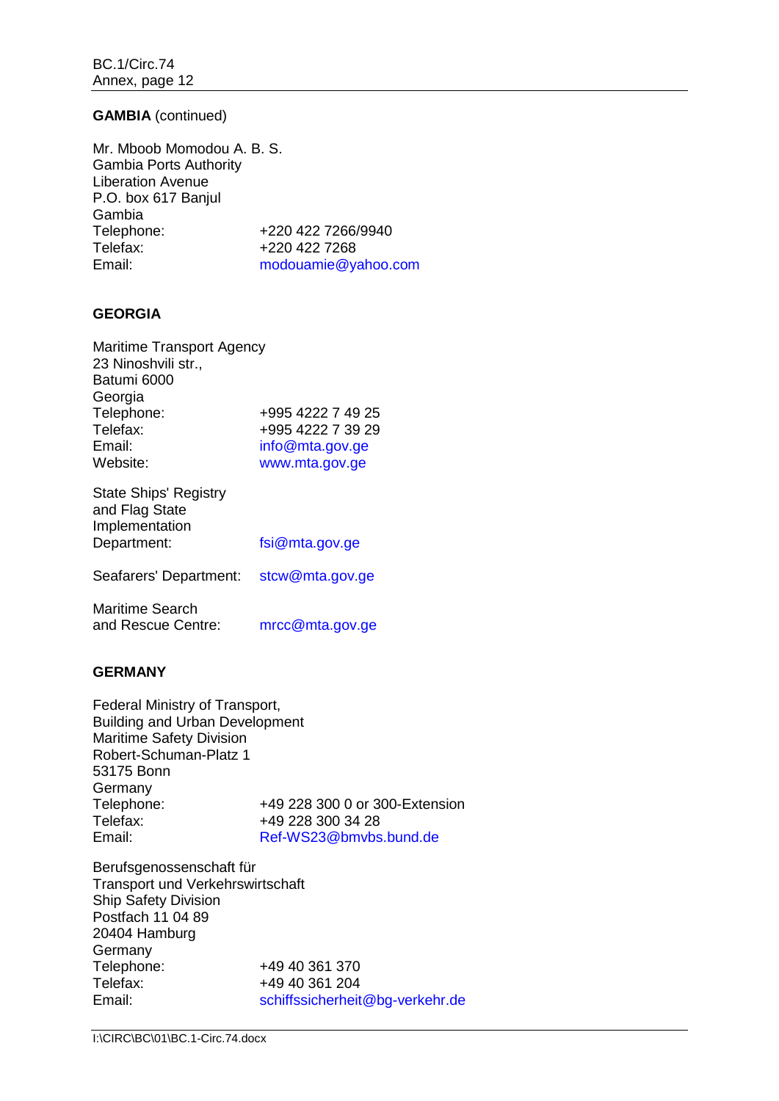## **GAMBIA** (continued)

Mr. Mboob Momodou A. B. S. Gambia Ports Authority Liberation Avenue P.O. box 617 Banjul Gambia<br>Telephone: Telephone: +220 422 7266/9940<br>Telefax: +220 422 7268 Telefax: +220 422 7268<br>Email: modouamie@va [modouamie@yahoo.com](file://imo10-win/vol2/groups/MSD/MTC/CARGOES/Sybelle%20Andre/bmoradi/AppData/Local/Temp/XPgrpwise/modouamie@yahoo.com)

## **GEORGIA**

| <b>Maritime Transport Agency</b>               |                   |
|------------------------------------------------|-------------------|
| 23 Ninoshvili str.,                            |                   |
| Batumi 6000                                    |                   |
| Georgia                                        |                   |
| Telephone:                                     | +995 4222 7 49 25 |
| Telefax:                                       | +995 4222 7 39 29 |
| Email:                                         | info@mta.gov.ge   |
| Website:                                       | www.mta.gov.ge    |
| <b>State Ships' Registry</b><br>$\blacksquare$ |                   |

| Ulalu UHIpo Tiugioli y |                |
|------------------------|----------------|
| and Flag State         |                |
| Implementation         |                |
| Department:            | fsi@mta.gov.ge |
|                        |                |

Seafarers' Department: [stcw@mta.gov.ge](mailto:stcw@mta.gov.ge)

| <b>Maritime Search</b> |                 |
|------------------------|-----------------|
| and Rescue Centre:     | mrcc@mta.gov.ge |

## **GERMANY**

Federal Ministry of Transport, Building and Urban Development Maritime Safety Division Robert-Schuman-Platz 1 53175 Bonn Germany Telephone: +49 228 300 0 or 300-Extension<br>Telefax: +49 228 300 34 28 Telefax: +49 228 300 34 28<br>Email: Ref-WS23@bmvbs [Ref-WS23@bmvbs.bund.de](mailto:Ref-WS23@bmvbs.bund.de)

Berufsgenossenschaft für Transport und Verkehrswirtschaft Ship Safety Division Postfach 11 04 89 20404 Hamburg Germany<br>Telephone: Telephone: +49 40 361 370<br>Telefax: +49 40 361 204 Telefax: +49 40 361 204<br>Email: schiffssicherheit [schiffssicherheit@bg-verkehr.de](mailto:schiffssicherheit@bg-verkehr.de)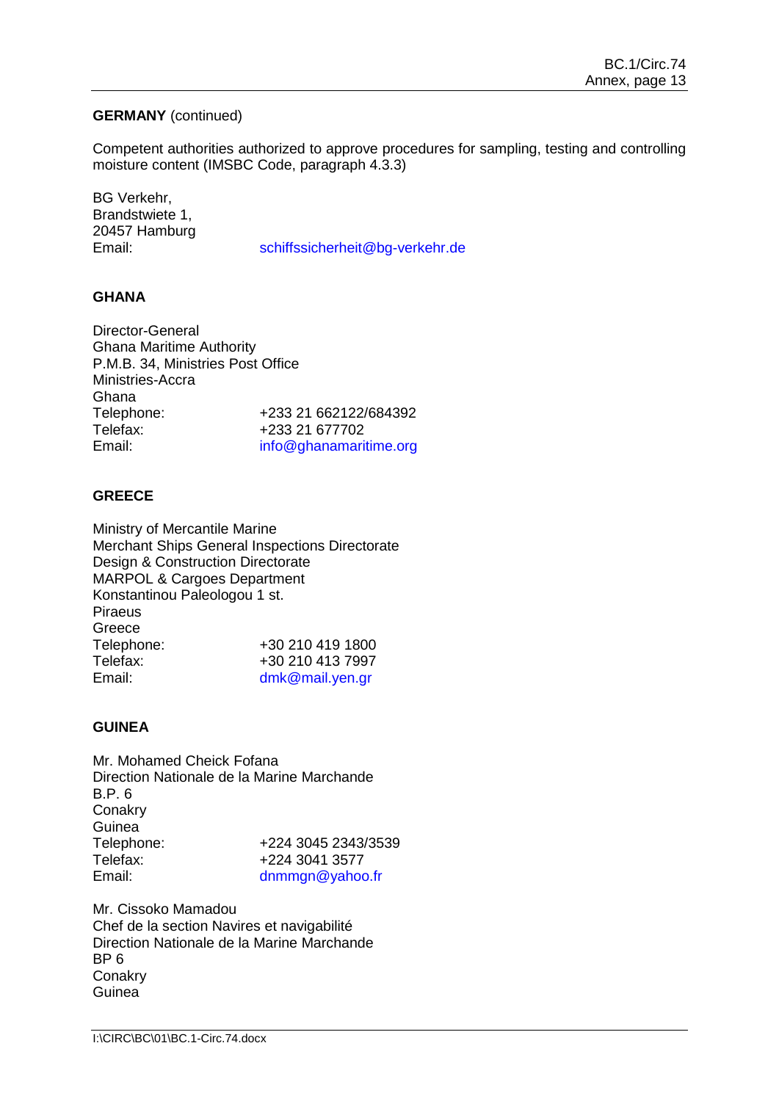## **GERMANY** (continued)

Competent authorities authorized to approve procedures for sampling, testing and controlling moisture content (IMSBC Code, paragraph 4.3.3)

BG Verkehr, Brandstwiete 1, 20457 Hamburg

Email: [schiffssicherheit@bg-verkehr.de](mailto:schiffssicherheit@bg-verkehr.de)

## **GHANA**

Director-General Ghana Maritime Authority P.M.B. 34, Ministries Post Office Ministries-Accra Ghana Telephone: +233 21 662122/684392 Telefax: +233 21 677702<br>
Fmail: info@ghanamari [info@ghanamaritime.org](file://imo10-win/vol2/groups/MSD/MTC/CARGOES/Sybelle%20Andre/bmoradi/AppData/Local/Temp/XPgrpwise/info@ghanamaritime.org)

## **GREECE**

Ministry of Mercantile Marine Merchant Ships General Inspections Directorate Design & Construction Directorate MARPOL & Cargoes Department Konstantinou Paleologou 1 st. Piraeus **Greece** Telephone: +30 210 419 1800 Telefax: +30 210 413 7997 Email: [dmk@mail.yen.gr](file://imo10-win/vol2/groups/MSD/MTC/CARGOES/Sybelle%20Andre/bmoradi/AppData/Local/Temp/XPgrpwise/dmk@mail.yen.gr)

## **GUINEA**

Mr. Mohamed Cheick Fofana Direction Nationale de la Marine Marchande B.P. 6 **Conakry** Guinea<br>Telephone: +224 3045 2343/3539 Telefax: +224 3041 3577 Email: [dnmmgn@yahoo.fr](file://imo10-win/vol2/groups/MSD/MTC/CARGOES/Sybelle%20Andre/bmoradi/AppData/Local/Temp/XPgrpwise/dnmmgn@yahoo.fr)

Mr. Cissoko Mamadou Chef de la section Navires et navigabilité Direction Nationale de la Marine Marchande BP 6 **Conakry** Guinea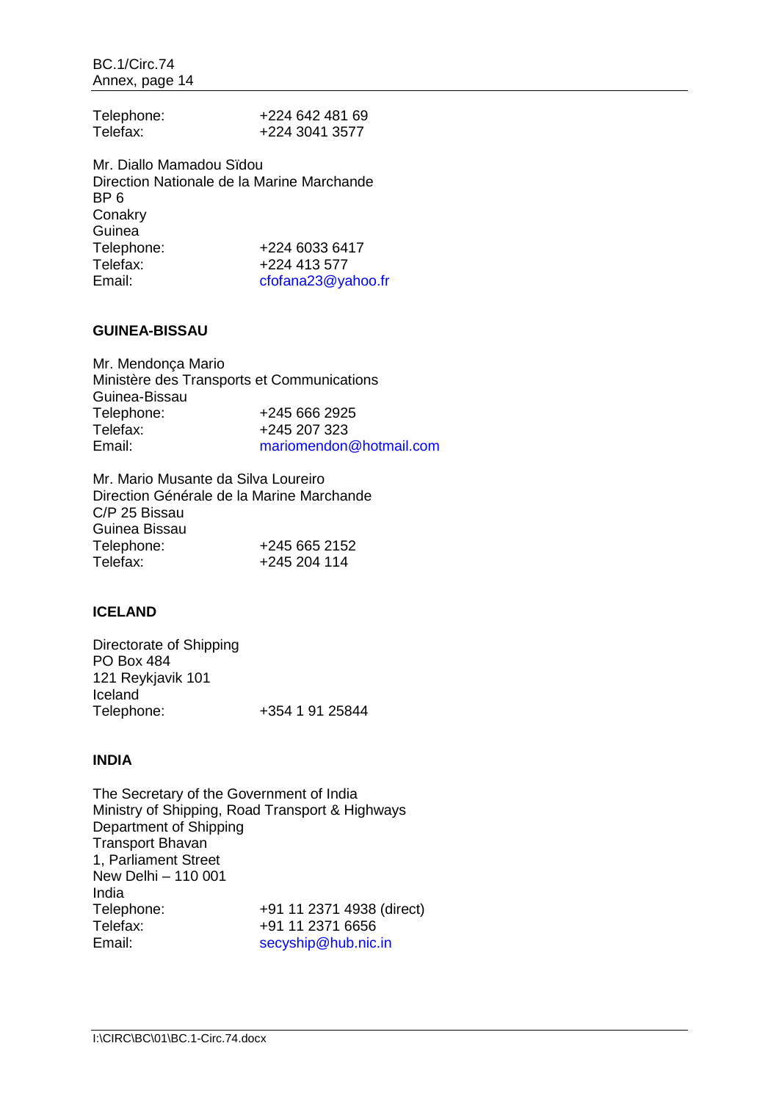| Telephone: | +224 642 481 69 |
|------------|-----------------|
| Telefax:   | +224 3041 3577  |

Mr. Diallo Mamadou Sïdou Direction Nationale de la Marine Marchande BP 6 **Conakry** Guinea Telephone: +224 6033 6417 Telefax: +224 413 577<br>Email: cfofana23@va [cfofana23@yahoo.fr](file://imo10-win/vol2/groups/MSD/MTC/CARGOES/Sybelle%20Andre/bmoradi/AppData/Local/Temp/XPgrpwise/cfofana23@yahoo.fr)

## **GUINEA-BISSAU**

Mr. Mendonça Mario Ministère des Transports et Communications Guinea-Bissau<br>Telephone: +245 666 2925 Telefax: +245 207 323<br>
Fmail: mariomendon [mariomendon@hotmail.com](file://imo10-win/vol2/groups/MSD/MTC/CARGOES/Sybelle%20Andre/bmoradi/AppData/Local/Temp/XPgrpwise/mariomendon@hotmail.com)

Mr. Mario Musante da Silva Loureiro Direction Générale de la Marine Marchande C/P 25 Bissau Guinea Bissau<br>Telephone: Telephone: +245 665 2152<br>Telefax: +245 204 114 Telefax: +245 204 114

# **ICELAND**

Directorate of Shipping PO Box 484 121 Reykjavik 101 Iceland<br>Telephone: Telephone: +354 1 91 25844

## **INDIA**

The Secretary of the Government of India Ministry of Shipping, Road Transport & Highways Department of Shipping Transport Bhavan 1, Parliament Street New Delhi – 110 001 India Telephone: +91 11 2371 4938 (direct)<br>Telefax: +91 11 2371 6656 +91 11 2371 6656 Email: [secyship@hub.nic.in](file://imo10-win/vol2/groups/MSD/MTC/CARGOES/Sybelle%20Andre/bmoradi/AppData/Local/Temp/XPgrpwise/secyship@hub.nic.in)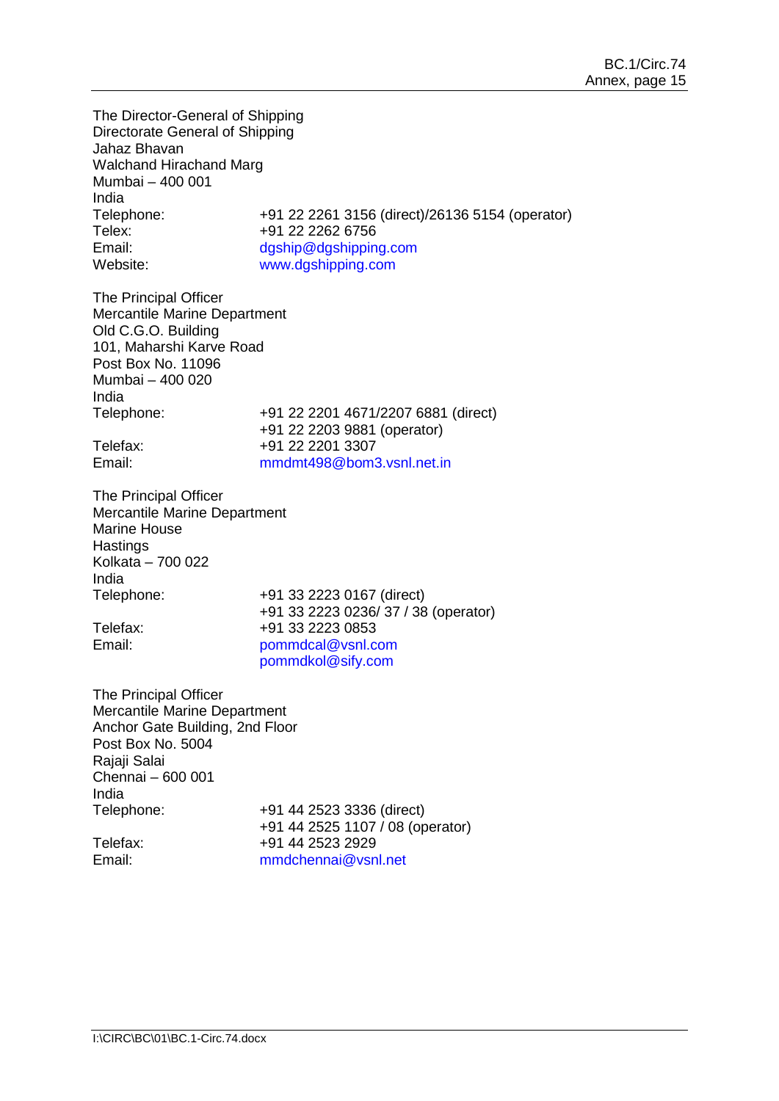The Director-General of Shipping Directorate General of Shipping Jahaz Bhavan Walchand Hirachand Marg Mumbai – 400 001 India<br>Telephone: Telephone: +91 22 2261 3156 (direct)/26136 5154 (operator)<br>Telex: +91 22 2262 6756 +91 22 2262 6756 Email: [dgship@dgshipping.com](file://imo10-win/vol2/groups/MSD/MTC/CARGOES/Sybelle%20Andre/bmoradi/AppData/Local/Temp/XPgrpwise/dgship@dgshipping.com) Website: [www.dgshipping.com](http://www.dgshipping.com/)

The Principal Officer Mercantile Marine Department Old C.G.O. Building 101, Maharshi Karve Road Post Box No. 11096 Mumbai – 400 020 India Telephone: +91 22 2201 4671/2207 6881 (direct) +91 22 2203 9881 (operator) Telefax: +91 22 2201 3307 Email: [mmdmt498@bom3.vsnl.net.in](file://imo10-win/vol2/groups/MSD/MTC/CARGOES/Sybelle%20Andre/bmoradi/AppData/Local/Temp/XPgrpwise/mmdmt498@bom3.vsnl.net.in)

The Principal Officer Mercantile Marine Department Marine House **Hastings** Kolkata – 700 022 India<br>Telephone:

+91 33 2223 0167 (direct) +91 33 2223 0236/ 37 / 38 (operator) Telefax: +91 33 2223 0853 Email: [pommdcal@vsnl.com](file://imo10-win/vol2/groups/MSD/MTC/CARGOES/Sybelle%20Andre/bmoradi/AppData/Local/Temp/XPgrpwise/pommdcal@vsnl.com) [pommdkol@sify.com](file://imo10-win/vol2/groups/MSD/MTC/CARGOES/Sybelle%20Andre/bmoradi/AppData/Local/Temp/XPgrpwise/pommdkol@sify.com)

The Principal Officer Mercantile Marine Department Anchor Gate Building, 2nd Floor Post Box No. 5004 Rajaji Salai Chennai – 600 001 India<br>Telephone: +91 44 2523 3336 (direct) +91 44 2525 1107 / 08 (operator) Telefax: +91 44 2523 2929 Email: [mmdchennai@vsnl.net](file://imo10-win/vol2/groups/MSD/MTC/CARGOES/Sybelle%20Andre/bmoradi/AppData/Local/Temp/XPgrpwise/mmdchennai@vsnl.net)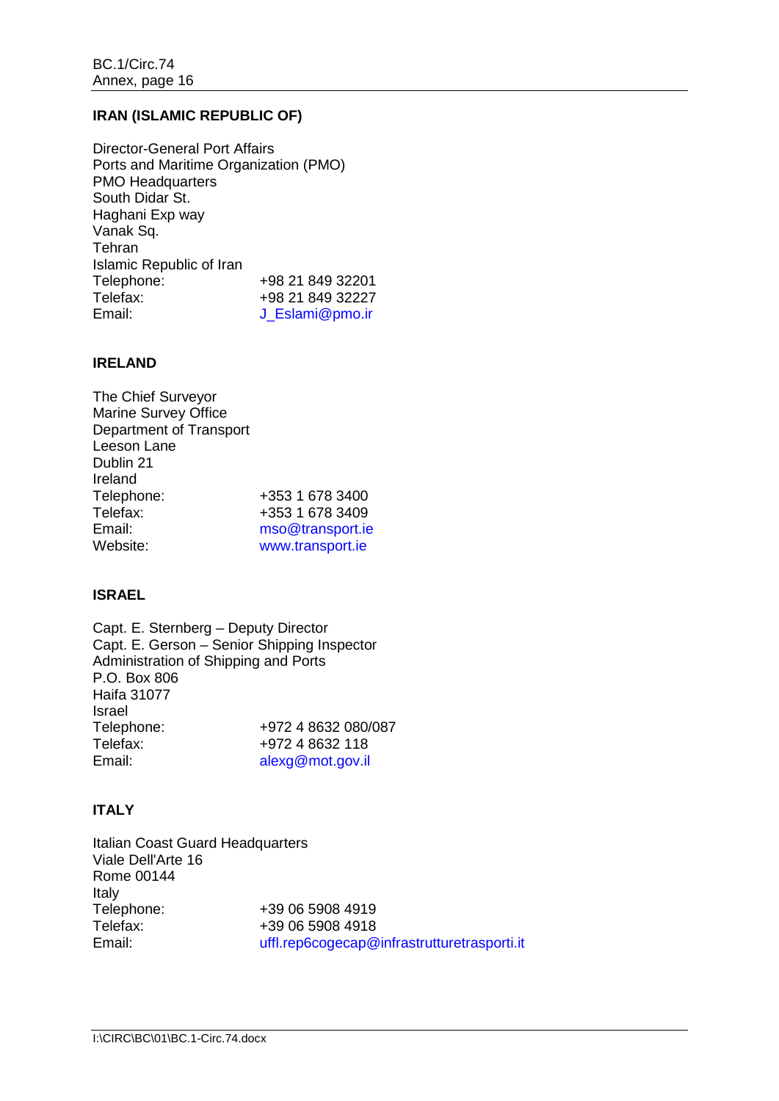# **IRAN (ISLAMIC REPUBLIC OF)**

Director-General Port Affairs Ports and Maritime Organization (PMO) PMO Headquarters South Didar St. Haghani Exp way Vanak Sq. **Tehran** Islamic Republic of Iran Telephone: +98 21 849 32201<br>Telefax: +98 21 849 32227 Telefax: +98 21 849 32227 [J\\_Eslami@pmo.ir](file://imo10-win/vol2/groups/MSD/MTC/CARGOES/Sybelle%20Andre/bmoradi/AppData/Local/Temp/XPgrpwise/J_Eslami@pmo.ir)

#### **IRELAND**

| The Chief Surveyor      |                  |
|-------------------------|------------------|
| Marine Survey Office    |                  |
| Department of Transport |                  |
| Leeson Lane             |                  |
| Dublin 21               |                  |
| Ireland                 |                  |
| Telephone:              | +353 1 678 3400  |
| Telefax:                | +353 1 678 3409  |
| Email:                  | mso@transport.ie |
| Website:                | www.transport.ie |

## **ISRAEL**

Capt. E. Sternberg – Deputy Director Capt. E. Gerson – Senior Shipping Inspector Administration of Shipping and Ports P.O. Box 806 Haifa 31077 Israel<br>Telephone: Telephone: +972 4 8632 080/087<br>Telefax: +972 4 8632 118 +972 4 8632 118 Email: [alexg@mot.gov.il](file://imo10-win/vol2/groups/MSD/MTC/CARGOES/Sybelle%20Andre/bmoradi/AppData/Local/Temp/XPgrpwise/alexg@mot.gov.il)

## **ITALY**

Italian Coast Guard Headquarters Viale Dell'Arte 16 Rome 00144 Italy<br>Telephone: Telephone: +39 06 5908 4919<br>Telefax: +39 06 5908 4918 +39 06 5908 4918 Email: [uffl.rep6cogecap@infrastrutturetrasporti.it](file://imo10-win/vol2/groups/MSD/MTC/CARGOES/Sybelle%20Andre/bmoradi/AppData/Local/Temp/XPgrpwise/uffl.rep6cogecap@infrastrutturetrasporti.it)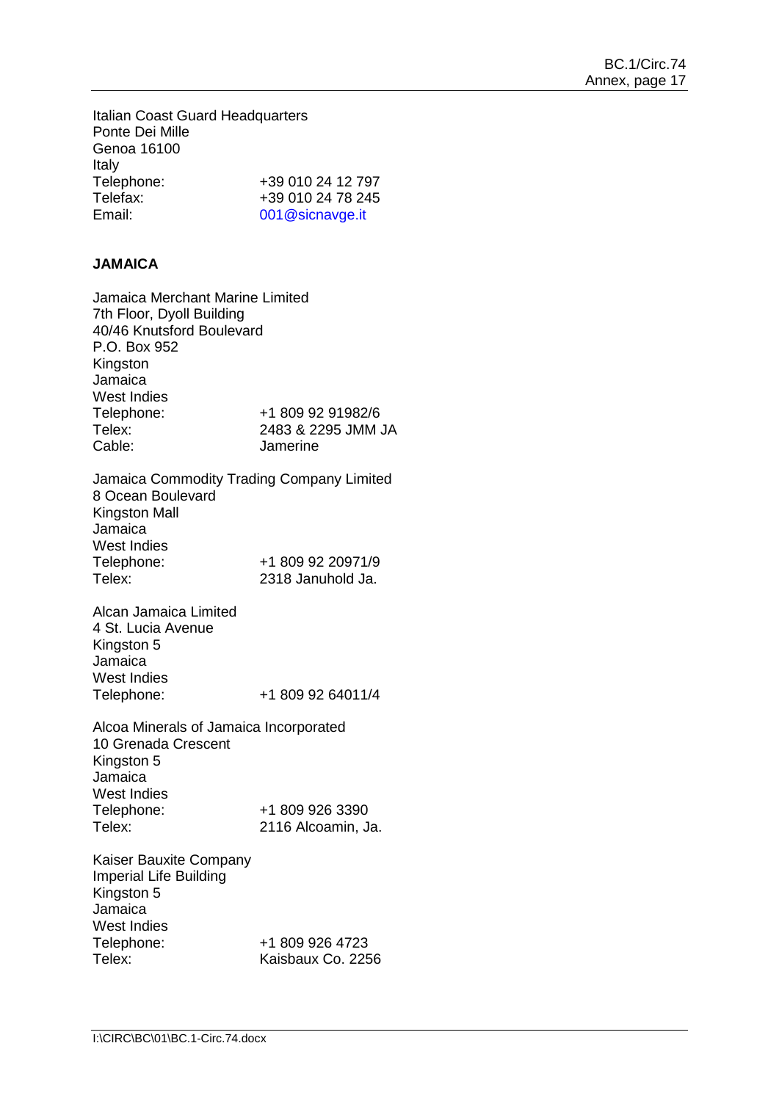Italian Coast Guard Headquarters Ponte Dei Mille Genoa 16100 Italy<br>Telephone: Telephone: +39 010 24 12 797<br>Telefax: +39 010 24 78 245 Telefax: +39 010 24 78 245<br>Fmail: 001@sicnavge.it

[001@sicnavge.it](file://imo10-win/vol2/groups/MSD/MTC/CARGOES/Sybelle%20Andre/bmoradi/AppData/Local/Temp/XPgrpwise/001@sicnavge.it)

# **JAMAICA**

Jamaica Merchant Marine Limited 7th Floor, Dyoll Building 40/46 Knutsford Boulevard P.O. Box 952 Kingston Jamaica West Indies<br>Telephone: +1 809 92 91982/6 Telex: 2483 & 2295 JMM JA<br>Cable: Jamerine Jamerine Jamaica Commodity Trading Company Limited 8 Ocean Boulevard Kingston Mall Jamaica West Indies Telephone: +1 809 92 20971/9<br>Telex: 2318 Januhold Ja. 2318 Januhold Ja. Alcan Jamaica Limited 4 St. Lucia Avenue Kingston 5 Jamaica West Indies Telephone: +1 809 92 64011/4 Alcoa Minerals of Jamaica Incorporated 10 Grenada Crescent Kingston 5 Jamaica West Indies<br>Telephone: Telephone: +1 809 926 3390<br>Telex: 2116 Alcoamin. J 2116 Alcoamin, Ja. Kaiser Bauxite Company Imperial Life Building Kingston 5 Jamaica West Indies

Telephone: +1 809 926 4723<br>Telex: Kaisbaux Co. 225 Kaisbaux Co. 2256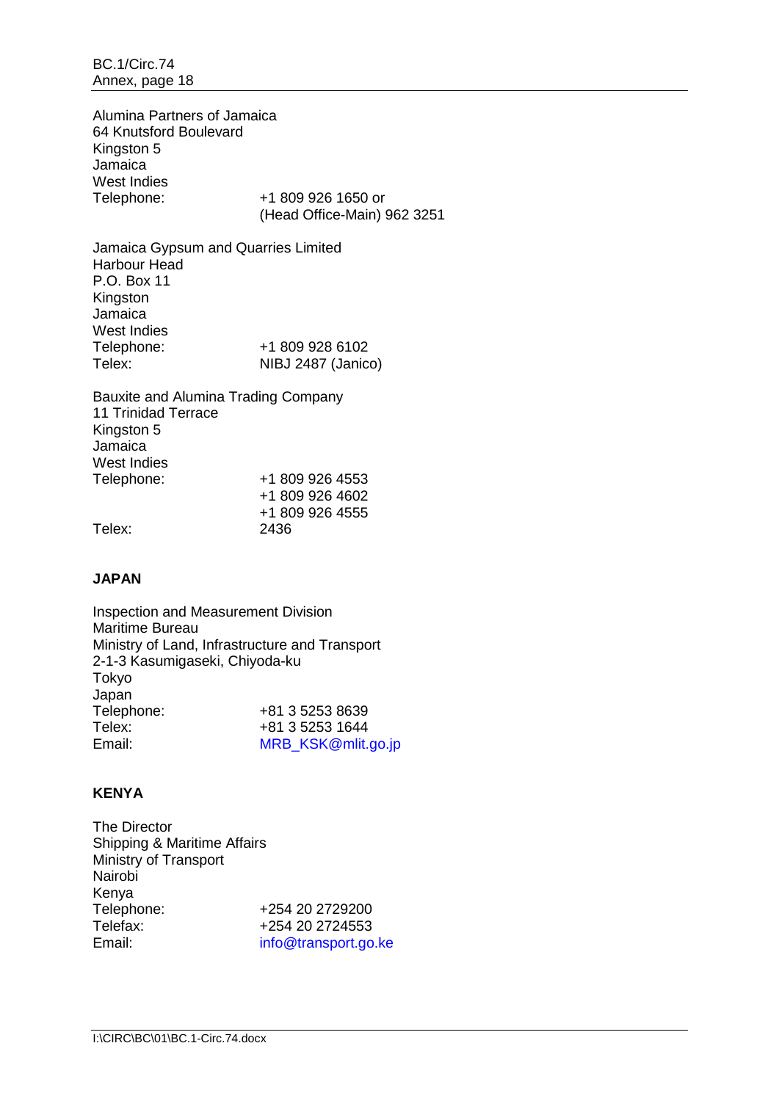Alumina Partners of Jamaica 64 Knutsford Boulevard Kingston 5 Jamaica West Indies<br>Telephone:

+1 809 926 1650 or (Head Office-Main) 962 3251

Jamaica Gypsum and Quarries Limited Harbour Head P.O. Box 11 Kingston Jamaica West Indies<br>Telephone: +1 809 928 6102 Telex: NIBJ 2487 (Janico)

Bauxite and Alumina Trading Company 11 Trinidad Terrace Kingston 5 Jamaica West Indies<br>Telephone: +1 809 926 4553 +1 809 926 4602 +1 809 926 4555 Telex: 2436

## **JAPAN**

Inspection and Measurement Division Maritime Bureau Ministry of Land, Infrastructure and Transport 2-1-3 Kasumigaseki, Chiyoda-ku Tokyo Japan<br>Telephone: Telephone: +81 3 5253 8639<br>Telex: +81 3 5253 1644 Telex: +81 3 5253 1644<br>Email: + MRB KSK@mlit. [MRB\\_KSK@mlit.go.jp](file://imo10-win/vol2/groups/MSD/MTC/CARGOES/Sybelle%20Andre/bmoradi/AppData/Local/Temp/XPgrpwise/MRB_KSK@mlit.go.jp)

# **KENYA**

| <b>The Director</b>         |                      |
|-----------------------------|----------------------|
| Shipping & Maritime Affairs |                      |
| Ministry of Transport       |                      |
| Nairobi                     |                      |
| Kenya                       |                      |
| Telephone:                  | +254 20 2729200      |
| Telefax:                    | +254 20 2724553      |
| Email:                      | info@transport.go.ke |
|                             |                      |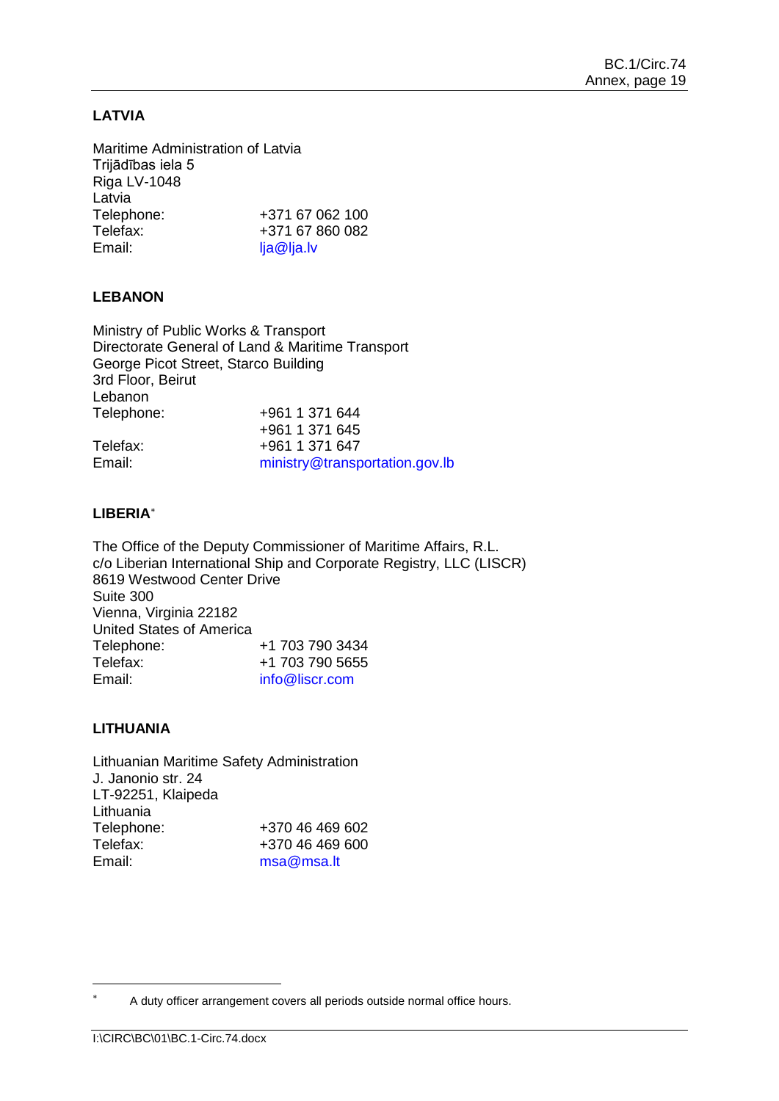# **LATVIA**

Maritime Administration of Latvia Trijādības iela 5 Riga LV-1048 Latvia<br>Telephone: Telephone: +371 67 062 100<br>Telefax: +371 67 860 082 +371 67 860 082 Email: [lja@lja.lv](file://imo10-win/vol2/groups/MSD/MTC/CARGOES/Sybelle%20Andre/bmoradi/AppData/Local/Temp/XPgrpwise/lja@lja.lv)

## **LEBANON**

Ministry of Public Works & Transport Directorate General of Land & Maritime Transport George Picot Street, Starco Building 3rd Floor, Beirut Lebanon Telephone: +961 1 371 644 +961 1 371 645 Telefax: +961 1 371 647 Email: [ministry@transportation.gov.lb](mailto:ministry@transportation.gov.lb)

## **LIBERIA**[∗](#page-20-0)

The Office of the Deputy Commissioner of Maritime Affairs, R.L. c/o Liberian International Ship and Corporate Registry, LLC (LISCR) 8619 Westwood Center Drive Suite 300 Vienna, Virginia 22182 United States of America Telephone: +1 703 790 3434 Telefax: +1 703 790 5655 Email: [info@liscr.com](file://imo10-win/vol2/groups/MSD/MTC/CARGOES/Sybelle%20Andre/bmoradi/AppData/Local/Temp/XPgrpwise/info@liscr.com)

## **LITHUANIA**

-

Lithuanian Maritime Safety Administration J. Janonio str. 24 LT-92251, Klaipeda Lithuania<br>Telephone: Telephone: +370 46 469 602<br>Telefax: +370 46 469 600 Telefax: +370 46 469 600<br>
Fmail: msa@msa\_lt [msa@msa.lt](file://imo10-win/vol2/groups/MSD/MTC/CARGOES/Sybelle%20Andre/bmoradi/AppData/Local/Temp/XPgrpwise/msa@msa.lt)

<span id="page-20-0"></span>A duty officer arrangement covers all periods outside normal office hours.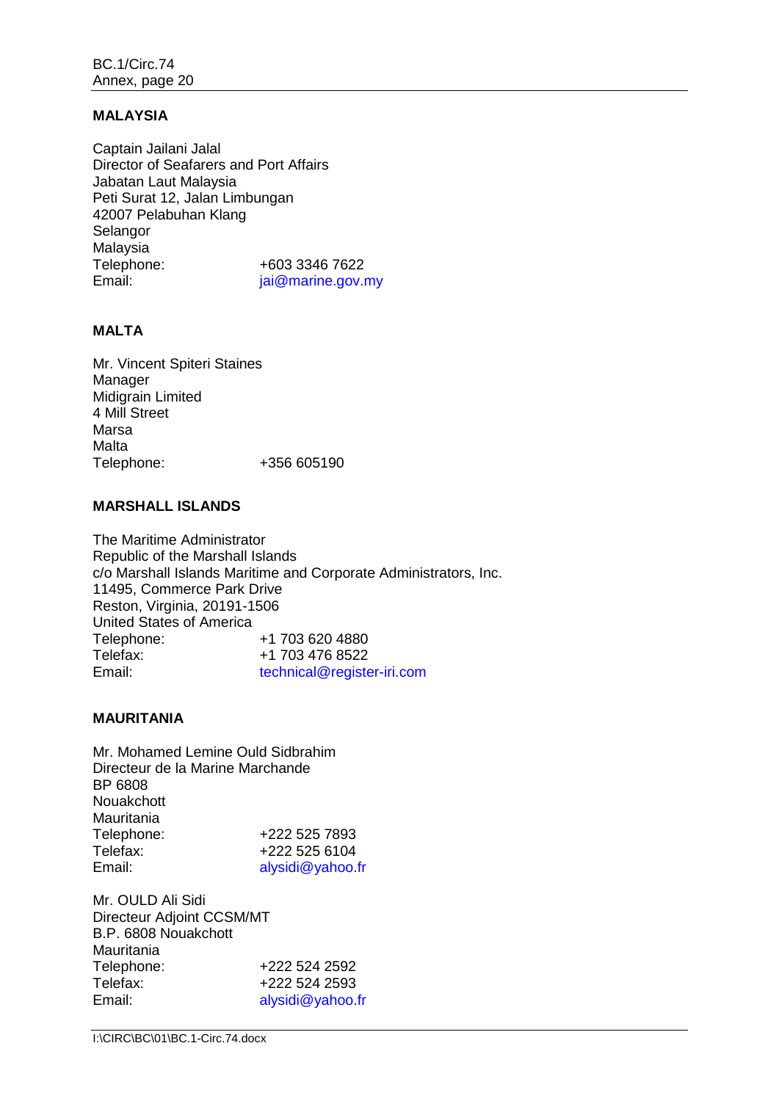#### **MALAYSIA**

Captain Jailani Jalal Director of Seafarers and Port Affairs Jabatan Laut Malaysia Peti Surat 12, Jalan Limbungan 42007 Pelabuhan Klang Selangor Malaysia Telephone:  $+603\,3346\,7622$ <br>Email:  $\frac{1}{2}$  iai@marine.gov. jai@marine.gov.my

## **MALTA**

Mr. Vincent Spiteri Staines Manager Midigrain Limited 4 Mill Street Marsa Malta Telephone: +356 605190

#### **MARSHALL ISLANDS**

The Maritime Administrator Republic of the Marshall Islands c/o Marshall Islands Maritime and Corporate Administrators, Inc. 11495, Commerce Park Drive Reston, Virginia, 20191-1506 United States of America Telephone: +1 703 620 4880<br>Telefax: +1 703 476 8522 +1 703 476 8522 Email: technical@register-iri.com

#### **MAURITANIA**

Mr. Mohamed Lemine Ould Sidbrahim Directeur de la Marine Marchande BP 6808 Nouakchott Mauritania Telephone: +222 525 7893<br>Telefax: +222 525 6104 Telefax:  $+222\,525\,6104$ <br>Email:  $\frac{alvsidi@vahoo}{alvsidi@vahoo}$ [alysidi@yahoo.fr](mailto:alysidi@yahoo.fr)

Mr. OULD Ali Sidi Directeur Adjoint CCSM/MT B.P. 6808 Nouakchott Mauritania<br>Telephone: +222 524 2592 Telefax: +222 524 2593 Email: [alysidi@yahoo.fr](file://imo10-win/vol2/groups/MSD/MTC/CARGOES/Sybelle%20Andre/bmoradi/AppData/Local/Temp/XPgrpwise/alysidi@yahoo.fr)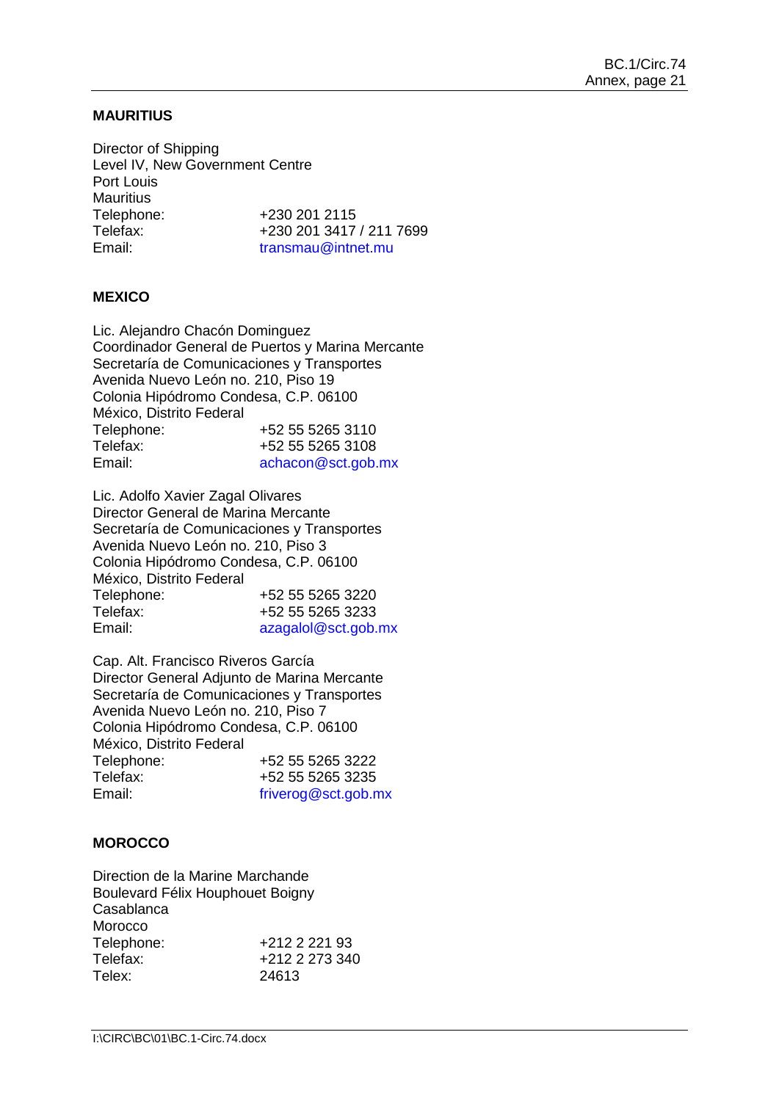## **MAURITIUS**

Director of Shipping Level IV, New Government Centre Port Louis Mauritius<br>Telephone: +230 201 2115 Telefax: +230 201 3417 / 211 7699 Email: [transmau@intnet.mu](file://imo10-win/vol2/groups/MSD/MTC/CARGOES/Sybelle%20Andre/bmoradi/AppData/Local/Temp/XPgrpwise/transmau@intnet.mu)

## **MEXICO**

Lic. Alejandro Chacón Dominguez Coordinador General de Puertos y Marina Mercante Secretaría de Comunicaciones y Transportes Avenida Nuevo León no. 210, Piso 19 Colonia Hipódromo Condesa, C.P. 06100 México, Distrito Federal Telephone: +52 55 5265 3110<br>Telefax: +52 55 5265 3108 +52 55 5265 3108 Email: [achacon@sct.gob.mx](file://imo10-win/vol2/groups/MSD/MTC/CARGOES/Sybelle%20Andre/bmoradi/AppData/Local/Temp/XPgrpwise/achacon@sct.gob.mx)

Lic. Adolfo Xavier Zagal Olivares Director General de Marina Mercante Secretaría de Comunicaciones y Transportes Avenida Nuevo León no. 210, Piso 3 Colonia Hipódromo Condesa, C.P. 06100 México, Distrito Federal<br>Telephone: Telephone: +52 55 5265 3220<br>Telefax: +52 55 5265 3233 +52 55 5265 3233 Email: [azagalol@sct.gob.mx](file://imo10-win/vol2/groups/MSD/MTC/CARGOES/Sybelle%20Andre/bmoradi/AppData/Local/Temp/XPgrpwise/azagalol@sct.gob.mx)

Cap. Alt. Francisco Riveros García Director General Adjunto de Marina Mercante Secretaría de Comunicaciones y Transportes Avenida Nuevo León no. 210, Piso 7 Colonia Hipódromo Condesa, C.P. 06100 México, Distrito Federal Telephone: +52 55 5265 3222 Telefax:  $+52\,55\,5265\,3235$ <br>Email:  $\frac{\text{friver of }@set \text{.}60 \text{.}}{\text{friver of }@set \text{.}}$ [friverog@sct.gob.mx](file://imo10-win/vol2/groups/MSD/MTC/CARGOES/Sybelle%20Andre/bmoradi/AppData/Local/Temp/XPgrpwise/friverog@sct.gob.mx)

## **MOROCCO**

Direction de la Marine Marchande Boulevard Félix Houphouet Boigny Casablanca Morocco Telephone: +212 2 221 93<br>Telefax: +212 2 273 340 Telefax: +212 2 273 340<br>Telex: 24613 24613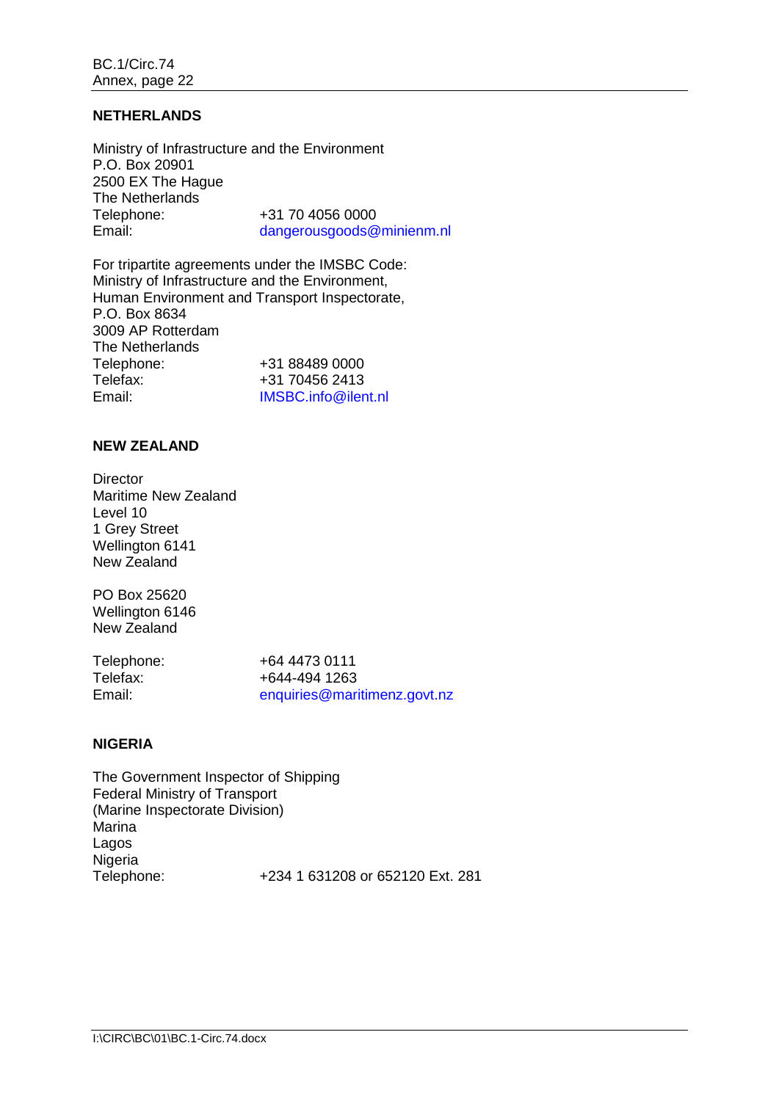## **NETHERLANDS**

Ministry of Infrastructure and the Environment P.O. Box 20901 2500 EX The Hague The Netherlands<br>Telephone: Telephone:  $+31 70 4056 0000$ <br>Email:  $\frac{1}{2}$  dangerousgoods  $\frac{a}{2}$ [dangerousgoods@minienm.nl](mailto:dangerousgoods@minienm.nl)

For tripartite agreements under the IMSBC Code: Ministry of Infrastructure and the Environment, Human Environment and Transport Inspectorate, P.O. Box 8634 3009 AP Rotterdam The Netherlands Telephone: +31 88489 0000<br>Telefax: +31 70456 2413 Telefax: +31 70456 2413<br>Email: + 1MSBC.info@iler IMSBC.info@ilent.nl

## **NEW ZEALAND**

**Director** Maritime New Zealand Level 10 1 Grey Street Wellington 6141 New Zealand

PO Box 25620 Wellington 6146 New Zealand

Telephone: +64 4473 0111<br>Telefax: +644-494 1263 Telefax: +644-494 1263<br>Email: enquiries@mari [enquiries@maritimenz.govt.nz](file://imo10-win/vol2/groups/MSD/MTC/CARGOES/Sybelle%20Andre/bmoradi/AppData/Local/Temp/XPgrpwise/manager.rules@maritimenz.govt.nz)

# **NIGERIA**

The Government Inspector of Shipping Federal Ministry of Transport (Marine Inspectorate Division) Marina Lagos Nigeria Telephone: +234 1 631208 or 652120 Ext. 281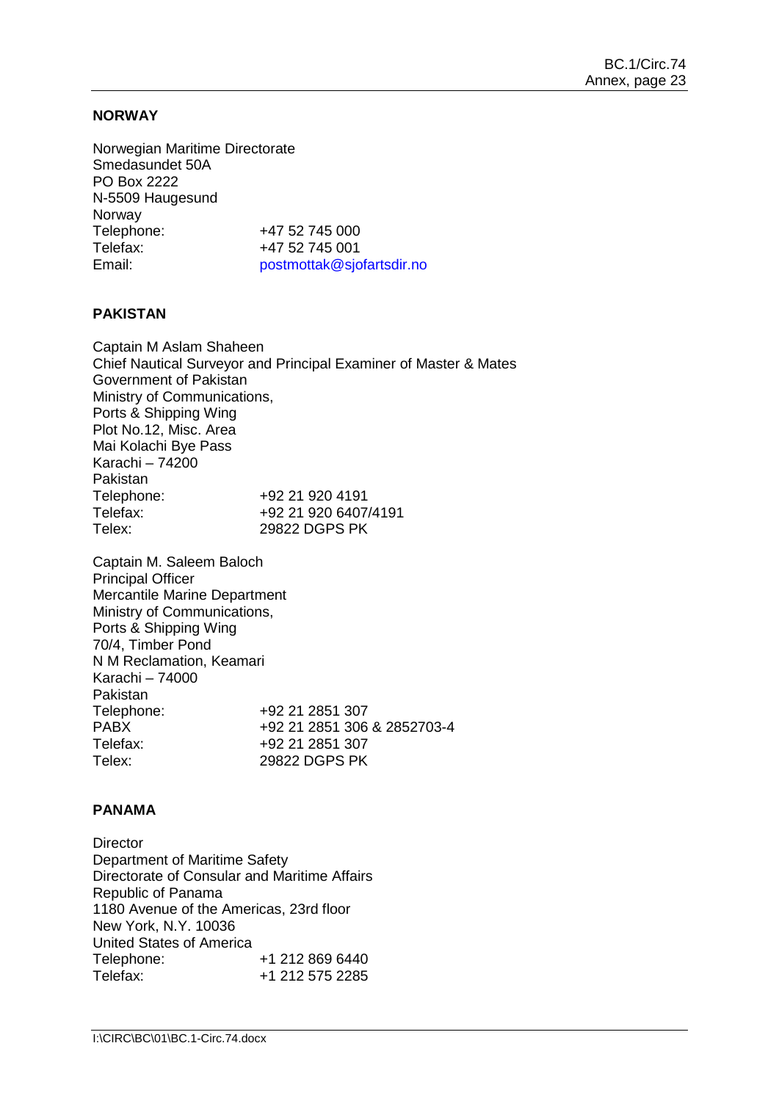## **NORWAY**

Norwegian Maritime Directorate Smedasundet 50A PO Box 2222 N-5509 Haugesund Norway Telephone: +47 52 745 000 Telefax: +47 52 745 001 Email: [postmottak@sjofartsdir.no](file://imo10-win/vol2/groups/MSD/MTC/CARGOES/Sybelle%20Andre/bmoradi/AppData/Local/Temp/XPgrpwise/postmottak@sjofartsdir.no)

## **PAKISTAN**

Captain M Aslam Shaheen Chief Nautical Surveyor and Principal Examiner of Master & Mates Government of Pakistan Ministry of Communications, Ports & Shipping Wing Plot No.12, Misc. Area Mai Kolachi Bye Pass Karachi – 74200 Pakistan Telephone: +92 21 920 4191<br>Telefax: +92 21 920 6407 +92 21 920 6407/4191 Telex: 29822 DGPS PK

Captain M. Saleem Baloch Principal Officer Mercantile Marine Department Ministry of Communications, Ports & Shipping Wing 70/4, Timber Pond N M Reclamation, Keamari Karachi – 74000 Pakistan<br>Telephone: Telephone: +92 21 2851 307<br>PABX +92 21 2851 306 +92 21 2851 306 & 2852703-4 Telefax: +92 21 2851 307 Telex: 29822 DGPS PK

## **PANAMA**

**Director** Department of Maritime Safety Directorate of Consular and Maritime Affairs Republic of Panama 1180 Avenue of the Americas, 23rd floor New York, N.Y. 10036 United States of America<br>Telephone: Telephone: +1 212 869 6440<br>Telefax: +1 212 575 2285 +1 212 575 2285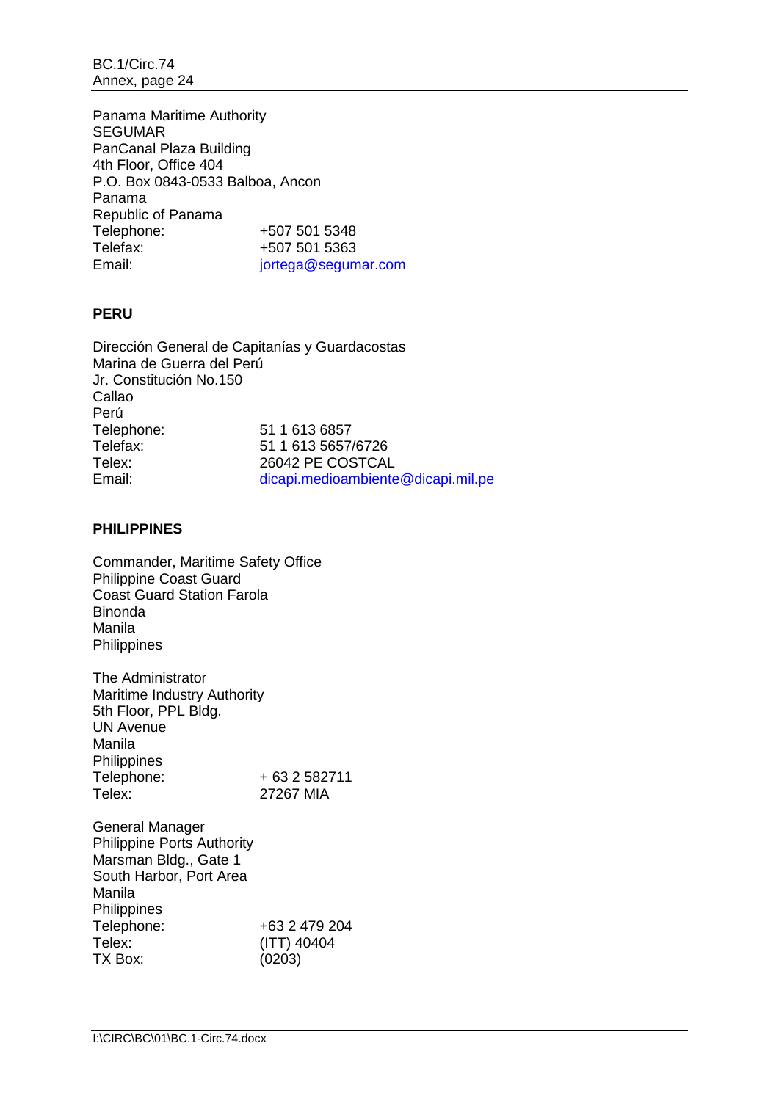BC.1/Circ.74 Annex, page 24

Panama Maritime Authority **SEGUMAR** PanCanal Plaza Building 4th Floor, Office 404 P.O. Box 0843-0533 Balboa, Ancon Panama Republic of Panama<br>Telephone: +507 501 5348 Telefax: +507 501 5363 Email: jortega@segumar.com

# **PERU**

Dirección General de Capitanías y Guardacostas Marina de Guerra del Perú Jr. Constitución No.150 Callao Perú Telephone: 51 1 613 6857<br>Telefax: 51 1 613 5657 Telefax: 51 1 613 5657/6726<br>Telex: 26042 PE COSTCAI Telex: 26042 PE COSTCAL<br>
Email: Contract Email: dicapi.medioambiente dicapi. medioambiente@dicapi.mil.pe

## **PHILIPPINES**

Commander, Maritime Safety Office Philippine Coast Guard Coast Guard Station Farola Binonda Manila **Philippines** 

The Administrator Maritime Industry Authority 5th Floor, PPL Bldg. UN Avenue Manila Philippines Telephone: + 63 2 582711<br>Telex: 27267 MIA 27267 MIA

General Manager Philippine Ports Authority Marsman Bldg., Gate 1 South Harbor, Port Area Manila Philippines<br>Telephone: +63 2 479 204 Telex: (ITT) 40404<br>TX Box: (0203)  $(0203)$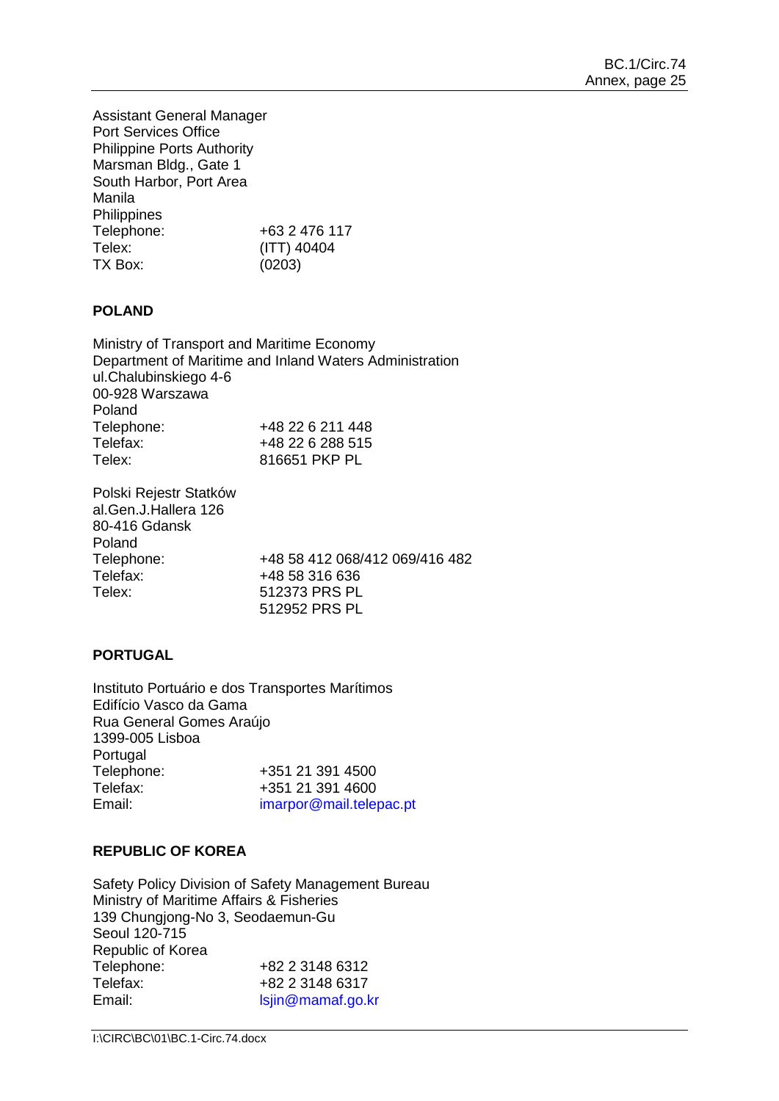Assistant General Manager Port Services Office Philippine Ports Authority Marsman Bldg., Gate 1 South Harbor, Port Area Manila **Philippines** Telephone: +63 2 476 117 Telex: (ITT) 40404 TX Box: (0203)

# **POLAND**

Ministry of Transport and Maritime Economy Department of Maritime and Inland Waters Administration ul.Chalubinskiego 4-6 00-928 Warszawa Poland Telephone: +48 22 6 211 448<br>Telefax: +48 22 6 288 515 Telefax: +48 22 6 288 515 816651 PKP PL

Polski Rejestr Statków al.Gen.J.Hallera 126 80-416 Gdansk Poland<br>Telephone: Telephone: +48 58 412 068/412 069/416 482<br>Telefax: +48 58 316 636 Telefax: +48 58 316 636 512373 PRS PL 512952 PRS PL

# **PORTUGAL**

Instituto Portuário e dos Transportes Marítimos Edifício Vasco da Gama Rua General Gomes Araújo 1399-005 Lisboa Portugal Telephone: +351 21 391 4500 Telefax: +351 21 391 4600 Email: [imarpor@mail.telepac.pt](file://imo10-win/vol2/groups/MSD/MTC/CARGOES/Sybelle%20Andre/bmoradi/AppData/Local/Temp/XPgrpwise/imarpor@mail.telepac.pt)

# **REPUBLIC OF KOREA**

Safety Policy Division of Safety Management Bureau Ministry of Maritime Affairs & Fisheries 139 Chungjong-No 3, Seodaemun-Gu Seoul 120-715 Republic of Korea<br>Telephone: +82 2 3148 6312 Telefax: +82 2 3148 6317 Email: [lsjin@mamaf.go.kr](file://imo10-win/vol2/groups/MSD/MTC/CARGOES/Sybelle%20Andre/bmoradi/AppData/Local/Temp/XPgrpwise/lsjin@mamaf.go.kr)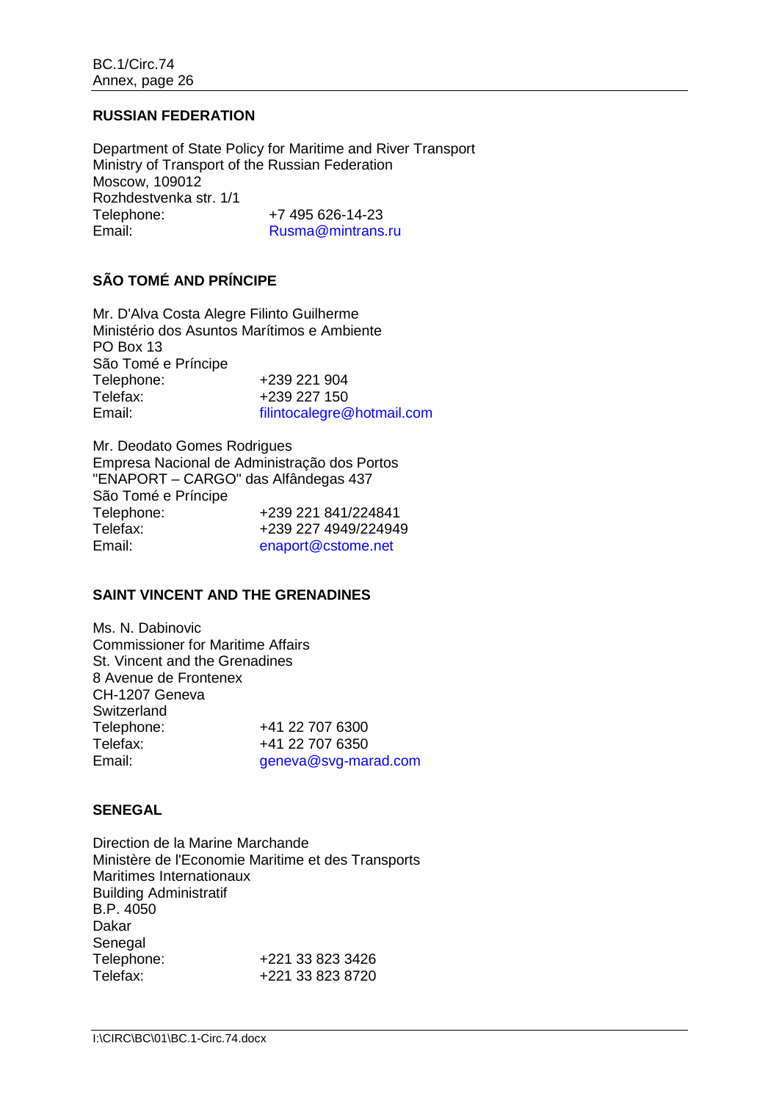## **RUSSIAN FEDERATION**

Department of State Policy for Maritime and River Transport Ministry of Transport of the Russian Federation Moscow, 109012 Rozhdestvenka str. 1/1 Telephone: +7 495 626-14-23 Email: [Rusma@mintrans.ru](mailto:Rusma@mintrans.ru)

# **SÃO TOMÉ AND PRÍNCIPE**

Mr. D'Alva Costa Alegre Filinto Guilherme Ministério dos Asuntos Marítimos e Ambiente PO Box 13 São Tomé e Príncipe<br>Telephone: Telephone: +239 221 904<br>Telefax: +239 227 150 Telefax: +239 227 150<br>Email: filintocalegre@ [filintocalegre@hotmail.com](mailto:filintocalegre@hotmail.com)

Mr. Deodato Gomes Rodrigues Empresa Nacional de Administração dos Portos "ENAPORT – CARGO" das Alfândegas 437 São Tomé e Príncipe<br>Telephone: Telephone: +239 221 841/224841 Telefax: +239 227 4949/224949 Email: [enaport@cstome.net](mailto:enaport@cstome.net)

# **SAINT VINCENT AND THE GRENADINES**

Ms. N. Dabinovic Commissioner for Maritime Affairs St. Vincent and the Grenadines 8 Avenue de Frontenex CH-1207 Geneva Switzerland<br>Telephone: +41 22 707 6300 Telefax: +41 22 707 6350 Email: [geneva@svg-marad.com](mailto:geneva@svg-marad.com)

## **SENEGAL**

Direction de la Marine Marchande Ministère de l'Economie Maritime et des Transports Maritimes Internationaux Building Administratif B.P. 4050 Dakar Senegal<br>Telephone: Telephone: +221 33 823 3426<br>Telefax: +221 33 823 8720 Telefax: +221 33 823 8720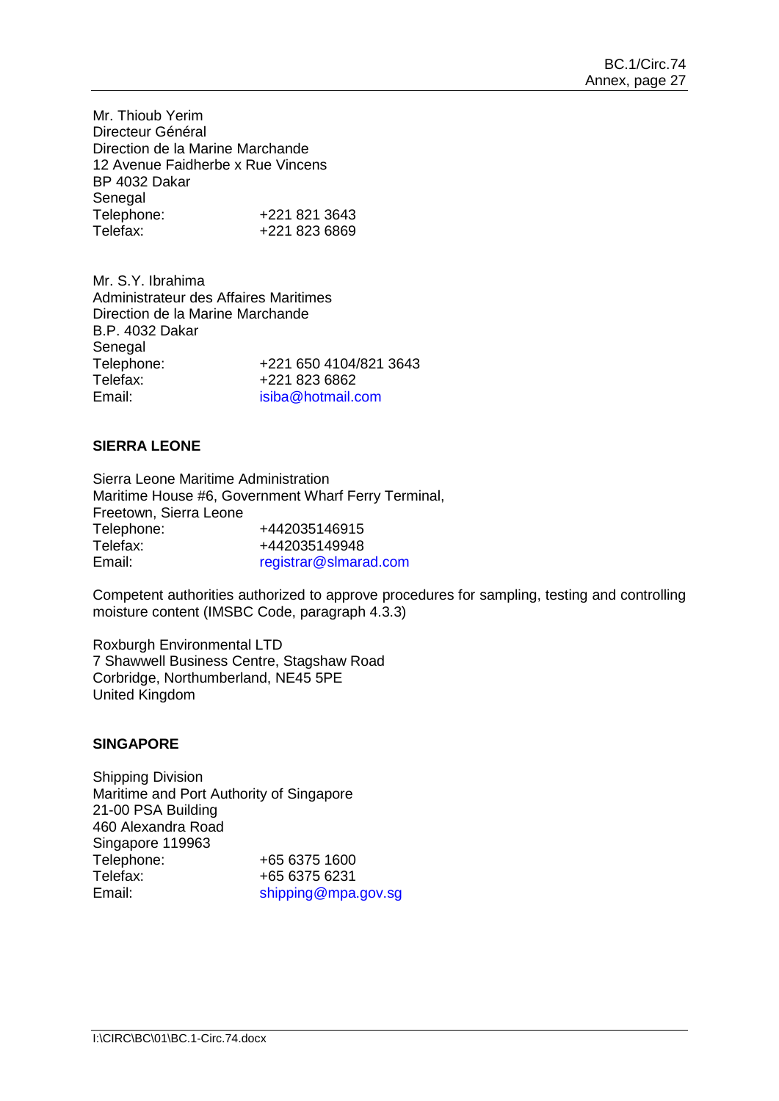Mr. Thioub Yerim Directeur Général Direction de la Marine Marchande 12 Avenue Faidherbe x Rue Vincens BP 4032 Dakar Senegal<br>Telephone: Telephone: +221 821 3643<br>Telefax: +221 823 6869 Telefax: +221 823 6869

Mr. S.Y. Ibrahima Administrateur des Affaires Maritimes Direction de la Marine Marchande B.P. 4032 Dakar Senegal Telephone: +221 650 4104/821 3643<br>Telefax: +221 823 6862 +221 823 6862 Email: [isiba@hotmail.com](file://imo10-win/vol2/groups/MSD/MTC/CARGOES/Sybelle%20Andre/bmoradi/AppData/Local/Temp/XPgrpwise/isiba@hotmail.com)

# **SIERRA LEONE**

Sierra Leone Maritime Administration Maritime House #6, Government Wharf Ferry Terminal, Freetown, Sierra Leone Telephone: +442035146915<br>Telefax: +442035149948 Telefax: +442035149948 Email: registrar@slmarad.com

Competent authorities authorized to approve procedures for sampling, testing and controlling moisture content (IMSBC Code, paragraph 4.3.3)

Roxburgh Environmental LTD 7 Shawwell Business Centre, Stagshaw Road Corbridge, Northumberland, NE45 5PE United Kingdom

## **SINGAPORE**

Shipping Division Maritime and Port Authority of Singapore 21-00 PSA Building 460 Alexandra Road Singapore 119963 Telephone: +65 6375 1600 Telefax: +65 6375 6231 Email: [shipping@mpa.gov.sg](file://imo10-win/vol2/groups/MSD/MTC/CARGOES/Sybelle%20Andre/bmoradi/AppData/Local/Temp/XPgrpwise/shipping@mpa.gov.sg)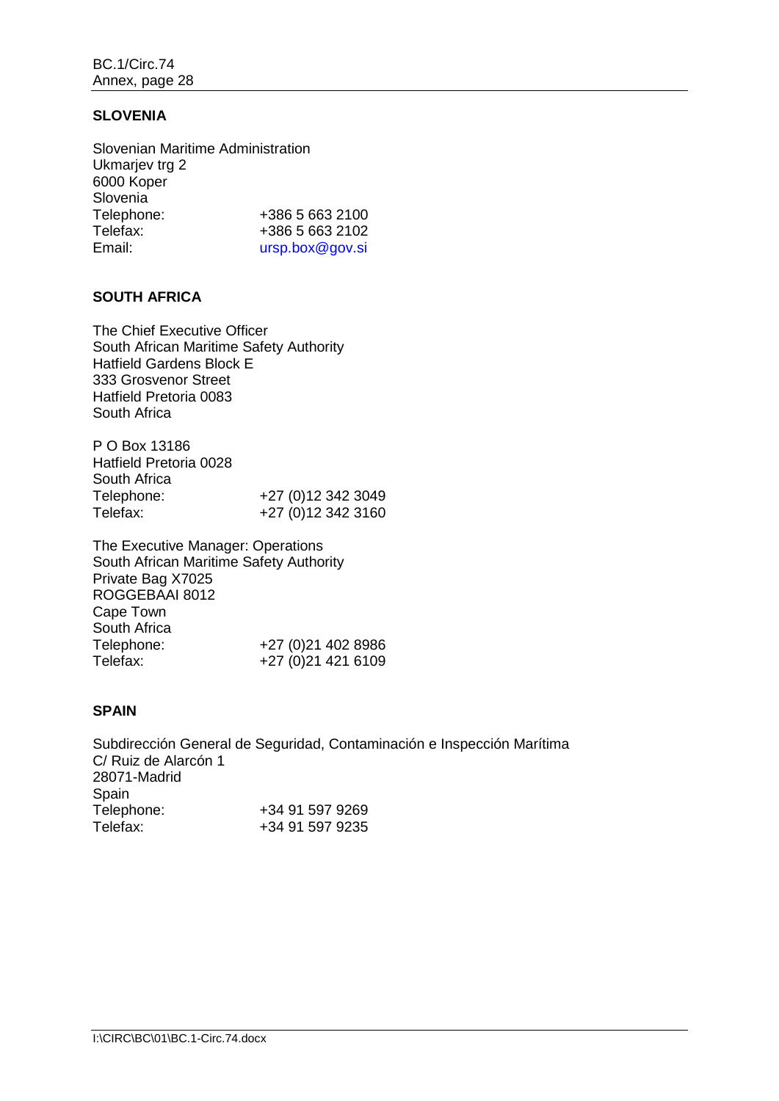# **SLOVENIA**

| Slovenian Maritime Administration |                 |
|-----------------------------------|-----------------|
| Ukmarjev trg 2                    |                 |
| 6000 Koper                        |                 |
| Slovenia                          |                 |
| Telephone:                        | +386 5 663 2100 |
| Telefax:                          | +386 5 663 2102 |
| Email:                            | ursp.box@gov.si |

# **SOUTH AFRICA**

The Chief Executive Officer South African Maritime Safety Authority Hatfield Gardens Block E 333 Grosvenor Street Hatfield Pretoria 0083 South Africa

P O Box 13186 Hatfield Pretoria 0028 South Africa Telephone: +27 (0)12 342 3049<br>Telefax: +27 (0)12 342 3160 +27 (0)12 342 3160

The Executive Manager: Operations South African Maritime Safety Authority Private Bag X7025 ROGGEBAAI 8012 Cape Town South Africa<br>Telephone: +27 (0)21 402 8986 Telefax: +27 (0)21 421 6109

# **SPAIN**

Subdirección General de Seguridad, Contaminación e Inspección Marítima C/ Ruiz de Alarcón 1 28071-Madrid Spain<br>Telephone: Telephone: +34 91 597 9269<br>Telefax: +34 91 597 9235 +34 91 597 9235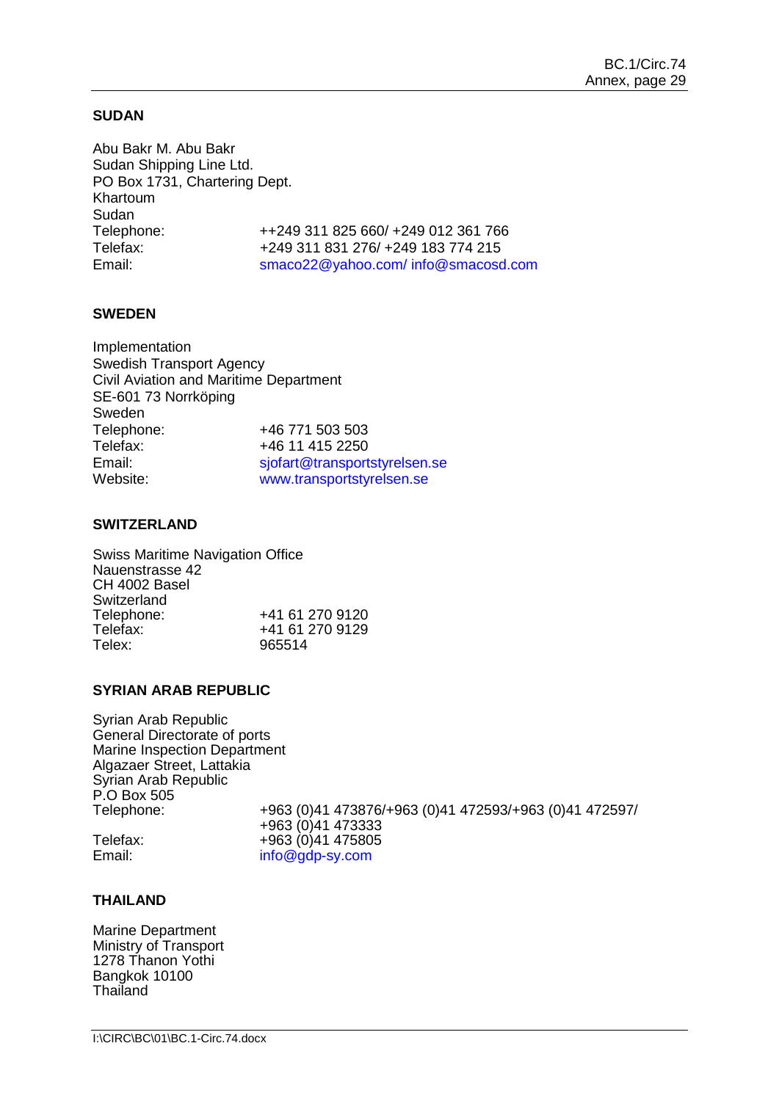#### **SUDAN**

Abu Bakr M. Abu Bakr Sudan Shipping Line Ltd. PO Box 1731, Chartering Dept. Khartoum Sudan Telephone: ++249 311 825 660/ +249 012 361 766 Telefax: +249 311 831 276/ +249 183 774 215 Email: [smaco22@yahoo.com/](mailto:smaco22@yahoo.com/) info@smacosd.com

## **SWEDEN**

| Implementation                         |                               |
|----------------------------------------|-------------------------------|
| <b>Swedish Transport Agency</b>        |                               |
| Civil Aviation and Maritime Department |                               |
| SE-601 73 Norrköping                   |                               |
| Sweden                                 |                               |
| Telephone:                             | +46 771 503 503               |
| Telefax:                               | +46 11 415 2250               |
| Email:                                 | sjofart@transportstyrelsen.se |
| Website:                               | www.transportstyrelsen.se     |

#### **SWITZERLAND**

Swiss Maritime Navigation Office Nauenstrasse 42 CH 4002 Basel Switzerland<br>Telephone: Telephone: +41 61 270 9120<br>Telefax: +41 61 270 9129 Telefax: +41 61 270 9129 Telex: 965514

#### **SYRIAN ARAB REPUBLIC**

Syrian Arab Republic General Directorate of ports Marine Inspection Department Algazaer Street, Lattakia Syrian Arab Republic P.O Box 505

Telephone: +963 (0)41 473876/+963 (0)41 472593/+963 (0)41 472597/ +963 (0)41 473333 Telefax: +963 (0)41 475805<br>Email: info@gdp-sy.com info@gdp-sy.com

# **THAILAND**

Marine Department Ministry of Transport 1278 Thanon Yothi Bangkok 10100 Thailand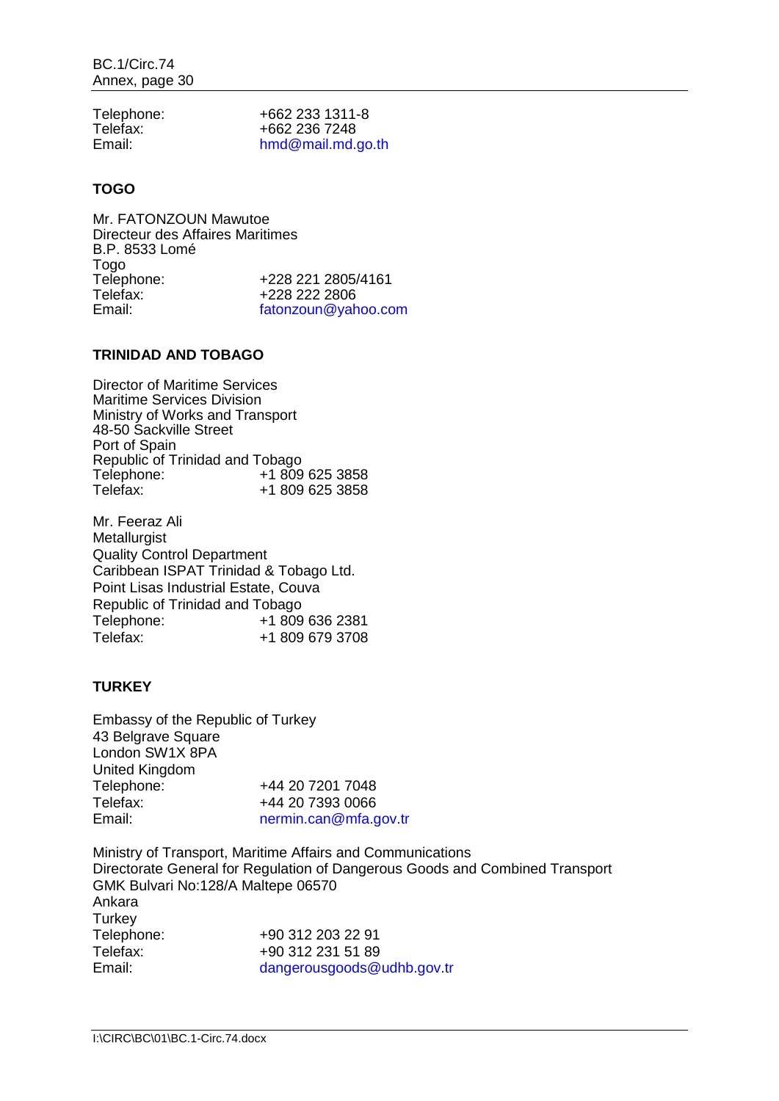| Telephone: | +662 233 1311-8   |
|------------|-------------------|
| Telefax:   | +662 236 7248     |
| Email:     | hmd@mail.md.go.th |

# **TOGO**

Mr. FATONZOUN Mawutoe Directeur des Affaires Maritimes B.P. 8533 Lomé Togo<br>Telephone: Telephone: +228 221 2805/4161<br>Telefax: +228 222 2806 Telefax: +228 222 2806 [fatonzoun@yahoo.com](file://imo10-win/vol2/groups/MSD/MTC/CARGOES/Sybelle%20Andre/bmoradi/AppData/Local/Temp/XPgrpwise/fatonzoun@yahoo.com)

## **TRINIDAD AND TOBAGO**

Director of Maritime Services Maritime Services Division Ministry of Works and Transport 48-50 Sackville Street Port of Spain Republic of Trinidad and Tobago<br>Telephone: +1 809 Telephone: +1 809 625 3858<br>Telefax: +1 809 625 3858 +1 809 625 3858

Mr. Feeraz Ali **Metallurgist** Quality Control Department Caribbean ISPAT Trinidad & Tobago Ltd. Point Lisas Industrial Estate, Couva Republic of Trinidad and Tobago Telephone: +1 809 636 2381<br>Telefax: +1 809 679 3708 +1 809 679 3708

# **TURKEY**

Embassy of the Republic of Turkey 43 Belgrave Square London SW1X 8PA United Kingdom Telephone: +44 20 7201 7048<br>Telefax: +44 20 7393 0066 +44 20 7393 0066 Email: [nermin.can@mfa.gov.tr](mailto:nermin.can@mfa.gov.tr)

Ministry of Transport, Maritime Affairs and Communications Directorate General for Regulation of Dangerous Goods and Combined Transport GMK Bulvari No:128/A Maltepe 06570 Ankara **Turkey** Telephone: +90 312 203 22 91<br>Telefax: +90 312 231 51 89 +90 312 231 51 89 Email: [dangerousgoods@udhb.gov.tr](mailto:dangerousgoods@udhb.gov.tr)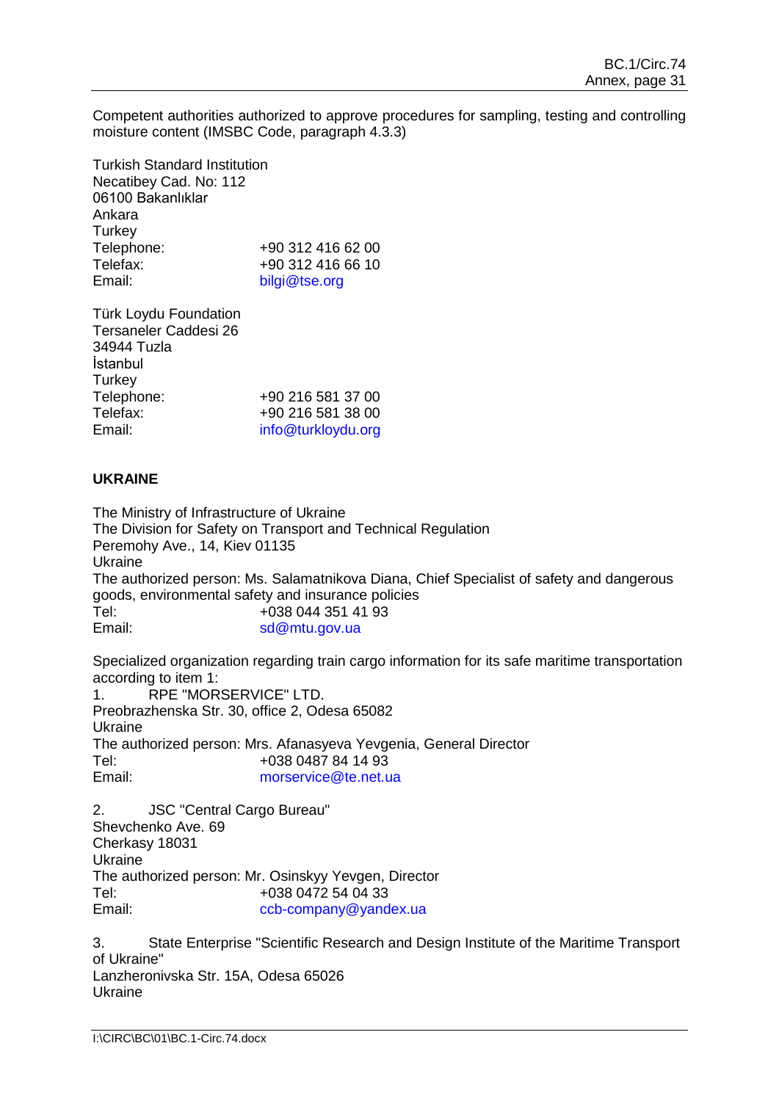Competent authorities authorized to approve procedures for sampling, testing and controlling moisture content (IMSBC Code, paragraph 4.3.3)

Turkish Standard Institution Necatibey Cad. No: 112 06100 Bakanlıklar Ankara **Turkey** Telephone: +90 312 416 62 00 Telefax:  $+90\,312\,416\,66\,10$ <br>Email:  $\frac{\text{bilai@tse.org}}{\text{bilai@tse.org}}$ [bilgi@tse.org](mailto:bilgi@tse.org)

Türk Loydu Foundation Tersaneler Caddesi 26 34944 Tuzla İstanbul **Turkey** Telephone: +90 216 581 37 00<br>Telefax: +90 216 581 38 00 +90 216 581 38 00 Email: [info@turkloydu.org](mailto:info@turkloydu.org)

## **UKRAINE**

The Ministry of Infrastructure of Ukraine The Division for Safety on Transport and Technical Regulation Peremohy Ave., 14, Kiev 01135 Ukraine The authorized person: Ms. Salamatnikova Diana, Chief Specialist of safety and dangerous goods, environmental safety and insurance policies Tel: +038 044 351 41 93 Email: [sd@mtu.gov.ua](mailto:sd@mtu.gov.ua)

Specialized organization regarding train cargo information for its safe maritime transportation according to item 1: 1. RPE "MORSERVICE" LTD. Preobrazhenska Str. 30, office 2, Odesa 65082 Ukraine The authorized person: Mrs. Afanasyeva Yevgenia, General Director Tel: +038 0487 84 14 93 Email: [morservice@te.net.ua](mailto:morservice@te.net.ua)

2. JSC "Central Cargo Bureau" Shevchenko Ave. 69 Cherkasy 18031 Ukraine The authorized person: Mr. Osinskyy Yevgen, Director Tel: +038 0472 54 04 33<br>Email:  $\frac{1}{2}$  ccb-company@vand [ccb-company@yandex.ua](mailto:ccb-company@yandex.ua)

3. State Enterprise "Scientific Research and Design Institute of the Maritime Transport of Ukraine" Lanzheronivska Str. 15A, Odesa 65026 Ukraine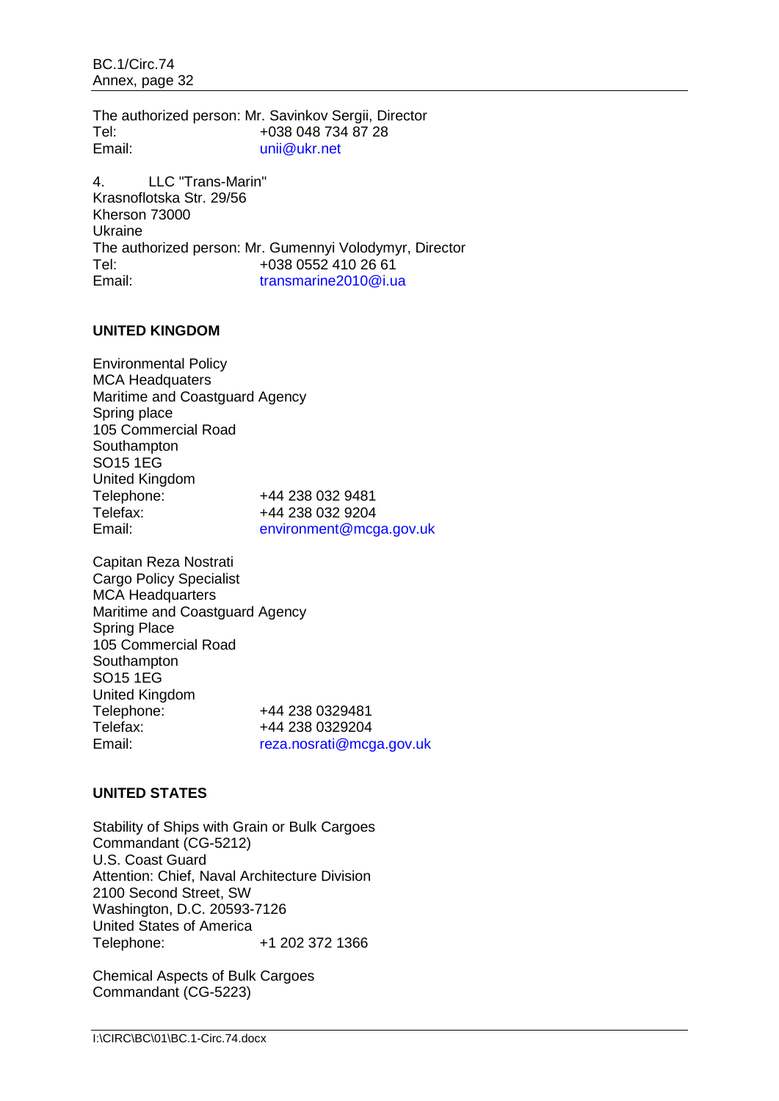BC.1/Circ.74 Annex, page 32

The authorized person: Mr. Savinkov Sergii, Director Tel: +038 048 734 87 28 Email: [unii@ukr.net](mailto:unii@ukr.net)

4. LLC "Trans-Marin" Krasnoflotska Str. 29/56 Kherson 73000 Ukraine The authorized person: Mr. Gumennyi Volodymyr, Director Tel: +038 0552 410 26 61<br>Email: transmarine2010@i.u [transmarine2010@i.ua](mailto:transmarine2010@i.ua)

## **UNITED KINGDOM**

Environmental Policy MCA Headquaters Maritime and Coastguard Agency Spring place 105 Commercial Road **Southampton** SO15 1EG United Kingdom Telephone: +44 238 032 9481<br>Telefax: +44 238 032 9204 +44 238 032 9204 Email: [environment@mcga.gov.uk](mailto:environment@mcga.gov.uk)

Capitan Reza Nostrati Cargo Policy Specialist MCA Headquarters Maritime and Coastguard Agency Spring Place 105 Commercial Road **Southampton** SO15 1EG United Kingdom Telephone: +44 238 0329481<br>Telefax: +44 238 0329204 Telefax: +44 238 0329204<br>
Email: France France reza.nosrati@mcc [reza.nosrati@mcga.gov.uk](mailto:reza.nosrati@mcga.gov.uk)

## **UNITED STATES**

Stability of Ships with Grain or Bulk Cargoes Commandant (CG-5212) U.S. Coast Guard Attention: Chief, Naval Architecture Division 2100 Second Street, SW Washington, D.C. 20593-7126 United States of America Telephone: +1 202 372 1366

Chemical Aspects of Bulk Cargoes Commandant (CG-5223)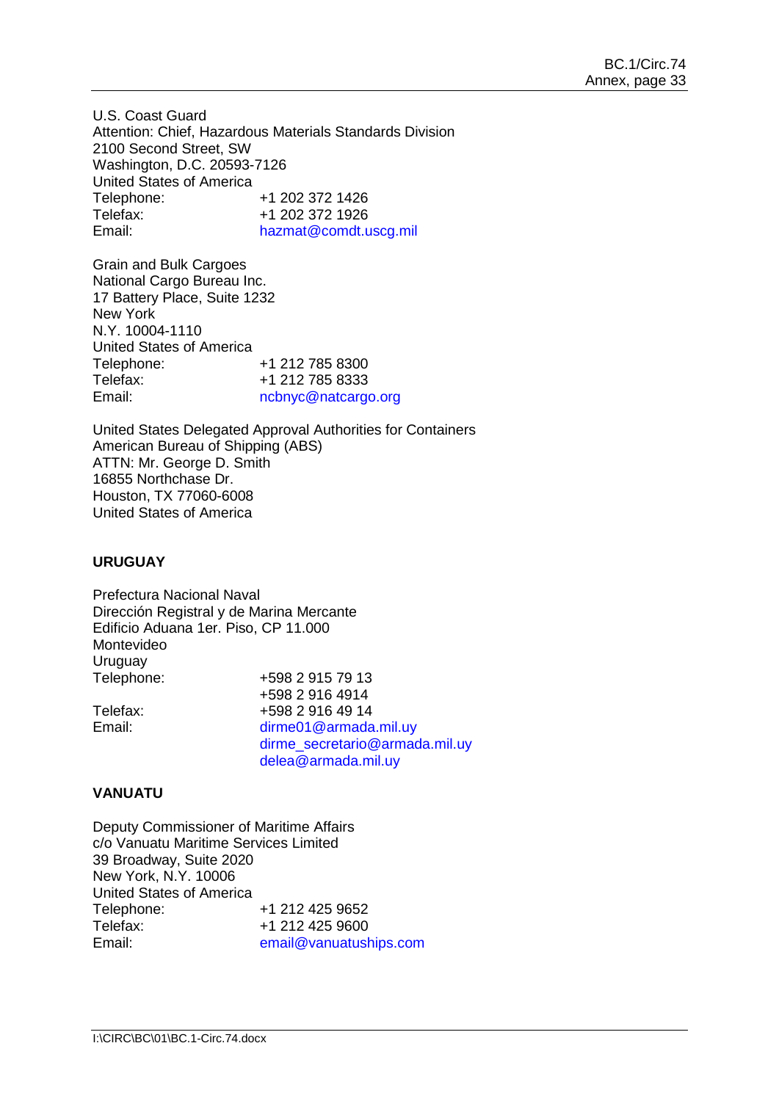U.S. Coast Guard Attention: Chief, Hazardous Materials Standards Division 2100 Second Street, SW Washington, D.C. 20593-7126 United States of America Telephone: +1 202 372 1426<br>Telefax: +1 202 372 1926 Telefax: +1 202 372 1926<br>Email: hazmat@comdt.u [hazmat@comdt.uscg.mil](mailto:hazmat@comdt.uscg.mil)

Grain and Bulk Cargoes National Cargo Bureau Inc. 17 Battery Place, Suite 1232 New York N.Y. 10004-1110 United States of America Telephone: +1 212 785 8300<br>Telefax: +1 212 785 8333 +1 212 785 8333 Email: [ncbnyc@natcargo.org](file://imo10-win/vol2/groups/MSD/MTC/CARGOES/Sybelle%20Andre/bmoradi/AppData/Local/Temp/XPgrpwise/ncbnyc@natcargo.org)

United States Delegated Approval Authorities for Containers American Bureau of Shipping (ABS) ATTN: Mr. George D. Smith 16855 Northchase Dr. Houston, TX 77060-6008 United States of America

## **URUGUAY**

Prefectura Nacional Naval Dirección Registral y de Marina Mercante Edificio Aduana 1er. Piso, CP 11.000 Montevideo Uruguay Telephone: +598 2 915 79 13 +598 2 916 4914 Telefax:  $+59829164914$ <br>Fmail:  $\frac{1}{2}$  dirme01@armada [dirme01@armada.mil.uy](mailto:dirme01@armada.mil.uy) [dirme\\_secretario@armada.mil.uy](mailto:dirme_secretario@armada.mil.uy) delea@armada.mil.uy

## **VANUATU**

Deputy Commissioner of Maritime Affairs c/o Vanuatu Maritime Services Limited 39 Broadway, Suite 2020 New York, N.Y. 10006 United States of America Telephone: +1 212 425 9652<br>Telefax: +1 212 425 9600 +1 212 425 9600 Email: [email@vanuatuships.com](file://imo10-win/vol2/groups/MSD/MTC/CARGOES/Sybelle%20Andre/bmoradi/AppData/Local/Temp/XPgrpwise/email@vanuatuships.com)